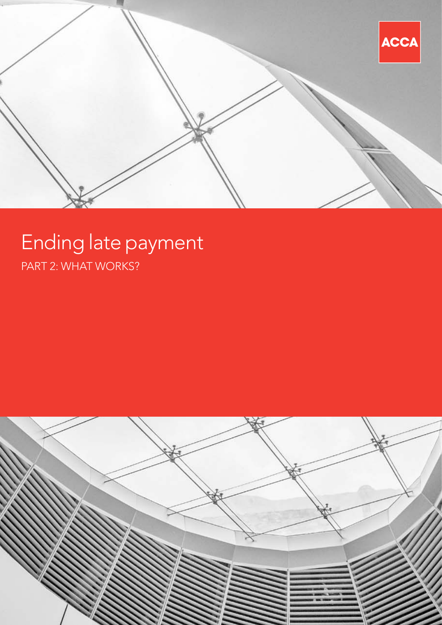

# Ending late payment PART 2: WHAT WORKS?

![](_page_0_Picture_2.jpeg)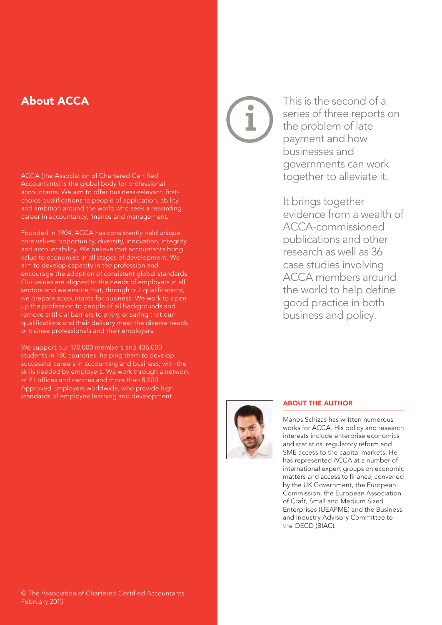# About ACCA

ACCA (the Association of Chartered Certified Accountants) is the global body for professional accountants. We aim to offer business-relevant, firstchoice qualifications to people of application, ability and ambition around the world who seek a rewarding career in accountancy, finance and management.

Founded in 1904, ACCA has consistently held unique core values: opportunity, diversity, innovation, integrity and accountability. We believe that accountants bring value to economies in all stages of development. We aim to develop capacity in the profession and encourage the adoption of consistent global standards. Our values are aligned to the needs of employers in all sectors and we ensure that, through our qualifications, we prepare accountants for business. We work to open up the profession to people of all backgrounds and remove artificial barriers to entry, ensuring that our qualifications and their delivery meet the diverse needs of trainee professionals and their employers.

We support our 170,000 members and 436,000 students in 180 countries, helping them to develop successful careers in accounting and business, with the skills needed by employers. We work through a network of 91 offices and centres and more than 8,500 Approved Employers worldwide, who provide high standards of employee learning and development.

This is the second of a series of three reports on the problem of late payment and how businesses and governments can work together to alleviate it.

It brings together evidence from a wealth of ACCA-commissioned publications and other research as well as 36 case studies involving ACCA members around the world to help define good practice in both business and policy.

![](_page_1_Picture_6.jpeg)

#### ABOUT THE AUTHOR

Manos Schizas has written numerous works for ACCA. His policy and research interests include enterprise economics and statistics, regulatory reform and SME access to the capital markets. He has represented ACCA at a number of international expert groups on economic matters and access to finance, convened by the UK Government, the European Commission, the European Association of Craft, Small and Medium Sized Enterprises (UEAPME) and the Business and Industry Advisory Committee to the OECD (BIAC).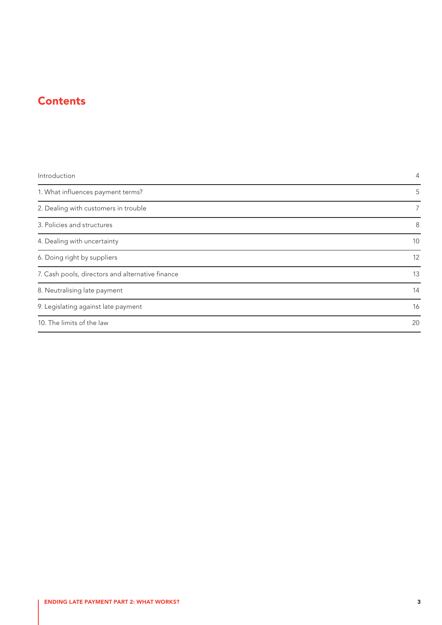# **Contents**

| Introduction                                     | $\overline{4}$ |  |  |
|--------------------------------------------------|----------------|--|--|
| 1. What influences payment terms?                | 5              |  |  |
| 2. Dealing with customers in trouble             | $\overline{7}$ |  |  |
| 3. Policies and structures                       | 8              |  |  |
| 4. Dealing with uncertainty                      | 10             |  |  |
| 6. Doing right by suppliers                      | 12             |  |  |
| 7. Cash pools, directors and alternative finance | 13             |  |  |
| 8. Neutralising late payment                     | 14             |  |  |
| 9. Legislating against late payment              | 16             |  |  |
| 10. The limits of the law                        |                |  |  |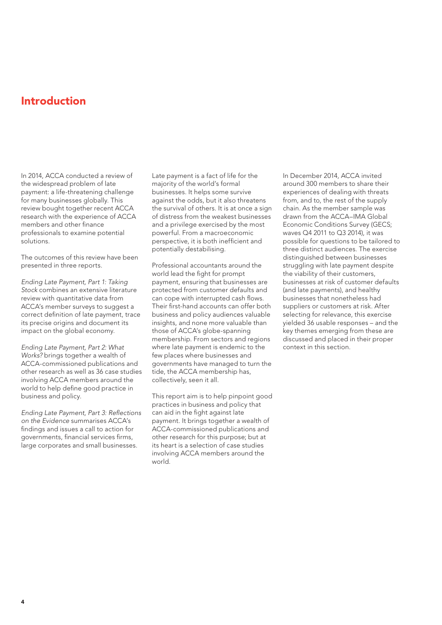## <span id="page-3-0"></span>Introduction

In 2014, ACCA conducted a review of the widespread problem of late payment: a life-threatening challenge for many businesses globally. This review bought together recent ACCA research with the experience of ACCA members and other finance professionals to examine potential solutions.

The outcomes of this review have been presented in three reports.

*Ending Late Payment, Part 1: Taking Stock* combines an extensive literature review with quantitative data from ACCA's member surveys to suggest a correct definition of late payment, trace its precise origins and document its impact on the global economy.

*Ending Late Payment, Part 2: What Works?* brings together a wealth of ACCA-commissioned publications and other research as well as 36 case studies involving ACCA members around the world to help define good practice in business and policy.

*Ending Late Payment, Part 3: Reflections on the Evidence* summarises ACCA's findings and issues a call to action for governments, financial services firms, large corporates and small businesses.

Late payment is a fact of life for the majority of the world's formal businesses. It helps some survive against the odds, but it also threatens the survival of others. It is at once a sign of distress from the weakest businesses and a privilege exercised by the most powerful. From a macroeconomic perspective, it is both inefficient and potentially destabilising.

Professional accountants around the world lead the fight for prompt payment, ensuring that businesses are protected from customer defaults and can cope with interrupted cash flows. Their first-hand accounts can offer both business and policy audiences valuable insights, and none more valuable than those of ACCA's globe-spanning membership. From sectors and regions where late payment is endemic to the few places where businesses and governments have managed to turn the tide, the ACCA membership has, collectively, seen it all.

This report aim is to help pinpoint good practices in business and policy that can aid in the fight against late payment. It brings together a wealth of ACCA-commissioned publications and other research for this purpose; but at its heart is a selection of case studies involving ACCA members around the world.

In December 2014, ACCA invited around 300 members to share their experiences of dealing with threats from, and to, the rest of the supply chain. As the member sample was drawn from the ACCA–IMA Global Economic Conditions Survey (GECS; waves Q4 2011 to Q3 2014), it was possible for questions to be tailored to three distinct audiences. The exercise distinguished between businesses struggling with late payment despite the viability of their customers, businesses at risk of customer defaults (and late payments), and healthy businesses that nonetheless had suppliers or customers at risk. After selecting for relevance, this exercise yielded 36 usable responses – and the key themes emerging from these are discussed and placed in their proper context in this section.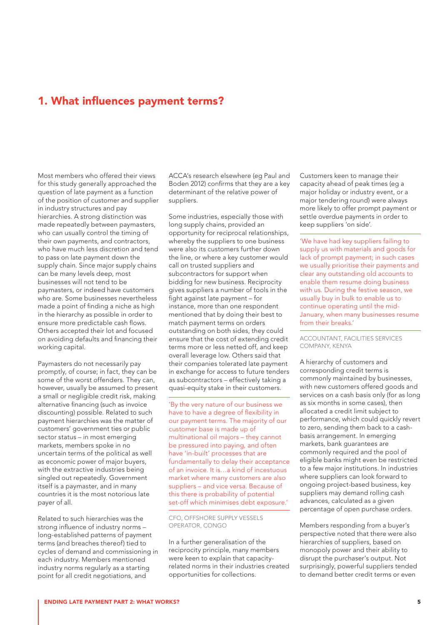### <span id="page-4-0"></span>1. What influences payment terms?

Most members who offered their views for this study generally approached the question of late payment as a function of the position of customer and supplier in industry structures and pay hierarchies. A strong distinction was made repeatedly between paymasters, who can usually control the timing of their own payments, and contractors, who have much less discretion and tend to pass on late payment down the supply chain. Since major supply chains can be many levels deep, most businesses will not tend to be paymasters, or indeed have customers who are. Some businesses nevertheless made a point of finding a niche as high in the hierarchy as possible in order to ensure more predictable cash flows. Others accepted their lot and focused on avoiding defaults and financing their working capital.

Paymasters do not necessarily pay promptly, of course; in fact, they can be some of the worst offenders. They can, however, usually be assumed to present a small or negligible credit risk, making alternative financing (such as invoice discounting) possible. Related to such payment hierarchies was the matter of customers' government ties or public sector status – in most emerging markets, members spoke in no uncertain terms of the political as well as economic power of major buyers, with the extractive industries being singled out repeatedly. Government itself is a paymaster, and in many countries it is the most notorious late payer of all.

Related to such hierarchies was the strong influence of industry norms – long-established patterns of payment terms (and breaches thereof) tied to cycles of demand and commissioning in each industry. Members mentioned industry norms regularly as a starting point for all credit negotiations, and

ACCA's research elsewhere (eg Paul and Boden 2012) confirms that they are a key determinant of the relative power of suppliers.

Some industries, especially those with long supply chains, provided an opportunity for reciprocal relationships, whereby the suppliers to one business were also its customers further down the line, or where a key customer would call on trusted suppliers and subcontractors for support when bidding for new business. Reciprocity gives suppliers a number of tools in the fight against late payment – for instance, more than one respondent mentioned that by doing their best to match payment terms on orders outstanding on both sides, they could ensure that the cost of extending credit terms more or less netted off, and keep overall leverage low. Others said that their companies tolerated late payment in exchange for access to future tenders as subcontractors – effectively taking a quasi-equity stake in their customers.

'By the very nature of our business we have to have a degree of flexibility in our payment terms. The majority of our customer base is made up of multinational oil majors – they cannot be pressured into paying, and often have 'in-built' processes that are fundamentally to delay their acceptance of an invoice. It is…a kind of incestuous market where many customers are also suppliers – and vice versa. Because of this there is probability of potential set-off which minimises debt exposure.'

#### CFO, OFFSHORE SUPPLY VESSELS OPERATOR, CONGO

In a further generalisation of the reciprocity principle, many members were keen to explain that capacityrelated norms in their industries created opportunities for collections.

Customers keen to manage their capacity ahead of peak times (eg a major holiday or industry event, or a major tendering round) were always more likely to offer prompt payment or settle overdue payments in order to keep suppliers 'on side'.

'We have had key suppliers failing to supply us with materials and goods for lack of prompt payment; in such cases we usually prioritise their payments and clear any outstanding old accounts to enable them resume doing business with us. During the festive season, we usually buy in bulk to enable us to continue operating until the mid-January, when many businesses resume from their breaks.'

ACCOUNTANT, FACILITIES SERVICES COMPANY, KENYA

A hierarchy of customers and corresponding credit terms is commonly maintained by businesses, with new customers offered goods and services on a cash basis only (for as long as six months in some cases), then allocated a credit limit subject to performance, which could quickly revert to zero, sending them back to a cashbasis arrangement. In emerging markets, bank guarantees are commonly required and the pool of eligible banks might even be restricted to a few major institutions. In industries where suppliers can look forward to ongoing project-based business, key suppliers may demand rolling cash advances, calculated as a given percentage of open purchase orders.

Members responding from a buyer's perspective noted that there were also hierarchies of suppliers, based on monopoly power and their ability to disrupt the purchaser's output. Not surprisingly, powerful suppliers tended to demand better credit terms or even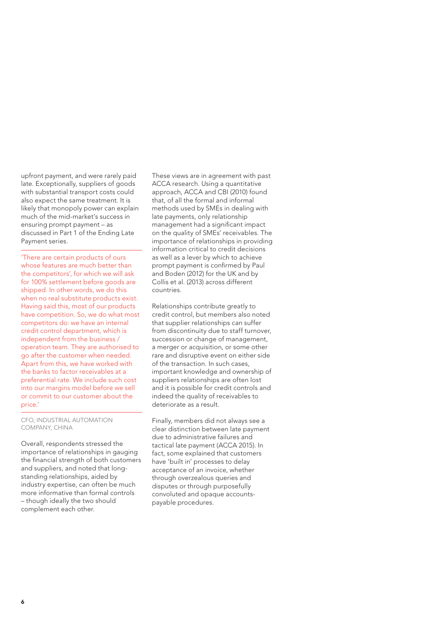upfront payment, and were rarely paid late. Exceptionally, suppliers of goods with substantial transport costs could also expect the same treatment. It is likely that monopoly power can explain much of the mid-market's success in ensuring prompt payment – as discussed in Part 1 of the Ending Late Payment series.

'There are certain products of ours whose features are much better than the competitors', for which we will ask for 100% settlement before goods are shipped. In other words, we do this when no real substitute products exist. Having said this, most of our products have competition. So, we do what most competitors do: we have an internal credit control department, which is independent from the business / operation team. They are authorised to go after the customer when needed. Apart from this, we have worked with the banks to factor receivables at a preferential rate. We include such cost into our margins model before we sell or commit to our customer about the price.'

CFO, INDUSTRIAL AUTOMATION COMPANY, CHINA

Overall, respondents stressed the importance of relationships in gauging the financial strength of both customers and suppliers, and noted that longstanding relationships, aided by industry expertise, can often be much more informative than formal controls – though ideally the two should complement each other.

These views are in agreement with past ACCA research. Using a quantitative approach, ACCA and CBI (2010) found that, of all the formal and informal methods used by SMEs in dealing with late payments, only relationship management had a significant impact on the quality of SMEs' receivables. The importance of relationships in providing information critical to credit decisions as well as a lever by which to achieve prompt payment is confirmed by Paul and Boden (2012) for the UK and by Collis et al. (2013) across different countries.

Relationships contribute greatly to credit control, but members also noted that supplier relationships can suffer from discontinuity due to staff turnover, succession or change of management, a merger or acquisition, or some other rare and disruptive event on either side of the transaction. In such cases, important knowledge and ownership of suppliers relationships are often lost and it is possible for credit controls and indeed the quality of receivables to deteriorate as a result.

Finally, members did not always see a clear distinction between late payment due to administrative failures and tactical late payment (ACCA 2015). In fact, some explained that customers have 'built in' processes to delay acceptance of an invoice, whether through overzealous queries and disputes or through purposefully convoluted and opaque accountspayable procedures.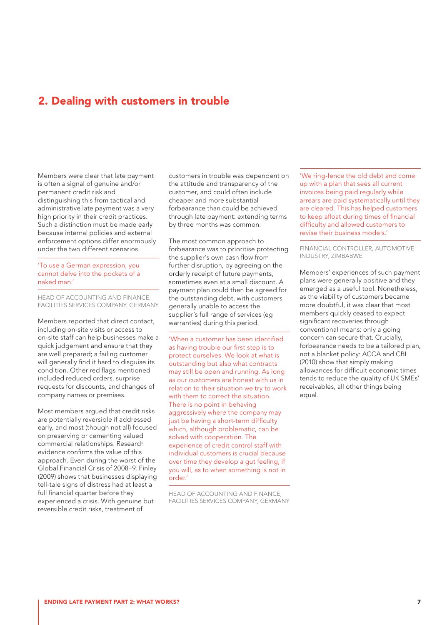### <span id="page-6-0"></span>2. Dealing with customers in trouble

Members were clear that late payment is often a signal of genuine and/or permanent credit risk and distinguishing this from tactical and administrative late payment was a very high priority in their credit practices. Such a distinction must be made early because internal policies and external enforcement options differ enormously under the two different scenarios.

'To use a German expression, you cannot delve into the pockets of a naked man.'

HEAD OF ACCOUNTING AND FINANCE, FACILITIES SERVICES COMPANY, GERMANY

Members reported that direct contact, including on-site visits or access to on-site staff can help businesses make a quick judgement and ensure that they are well prepared; a failing customer will generally find it hard to disguise its condition. Other red flags mentioned included reduced orders, surprise requests for discounts, and changes of company names or premises.

Most members argued that credit risks are potentially reversible if addressed early, and most (though not all) focused on preserving or cementing valued commercial relationships. Research evidence confirms the value of this approach. Even during the worst of the Global Financial Crisis of 2008–9, Finley (2009) shows that businesses displaying tell-tale signs of distress had at least a full financial quarter before they experienced a crisis. With genuine but reversible credit risks, treatment of

customers in trouble was dependent on the attitude and transparency of the customer, and could often include cheaper and more substantial forbearance than could be achieved through late payment: extending terms by three months was common.

The most common approach to forbearance was to prioritise protecting the supplier's own cash flow from further disruption, by agreeing on the orderly receipt of future payments, sometimes even at a small discount. A payment plan could then be agreed for the outstanding debt, with customers generally unable to access the supplier's full range of services (eg warranties) during this period.

'When a customer has been identified as having trouble our first step is to protect ourselves. We look at what is outstanding but also what contracts may still be open and running. As long as our customers are honest with us in relation to their situation we try to work with them to correct the situation. There is no point in behaving aggressively where the company may just be having a short-term difficulty which, although problematic, can be solved with cooperation. The experience of credit control staff with individual customers is crucial because over time they develop a gut feeling, if you will, as to when something is not in order.'

HEAD OF ACCOUNTING AND FINANCE, FACILITIES SERVICES COMPANY, GERMANY 'We ring-fence the old debt and come up with a plan that sees all current invoices being paid regularly while arrears are paid systematically until they are cleared. This has helped customers to keep afloat during times of financial difficulty and allowed customers to revise their business models.'

FINANCIAL CONTROLLER, AUTOMOTIVE INDUSTRY, ZIMBABWE

Members' experiences of such payment plans were generally positive and they emerged as a useful tool. Nonetheless, as the viability of customers became more doubtful, it was clear that most members quickly ceased to expect significant recoveries through conventional means: only a going concern can secure that. Crucially, forbearance needs to be a tailored plan, not a blanket policy: ACCA and CBI (2010) show that simply making allowances for difficult economic times tends to reduce the quality of UK SMEs' receivables, all other things being equal.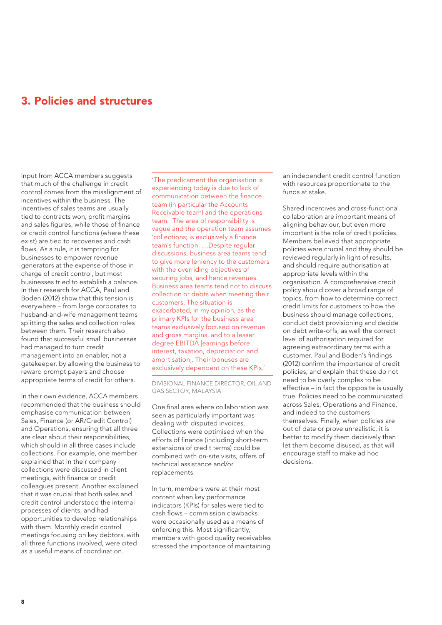### <span id="page-7-0"></span>3. Policies and structures

Input from ACCA members suggests that much of the challenge in credit control comes from the misalignment of incentives within the business. The incentives of sales teams are usually tied to contracts won, profit margins and sales figures, while those of finance or credit control functions (where these exist) are tied to recoveries and cash flows. As a rule, it is tempting for businesses to empower revenue generators at the expense of those in charge of credit control, but most businesses tried to establish a balance. In their research for ACCA, Paul and Boden (2012) show that this tension is everywhere – from large corporates to husband-and-wife management teams splitting the sales and collection roles between them. Their research also found that successful small businesses had managed to turn credit management into an enabler, not a gatekeeper, by allowing the business to reward prompt payers and choose appropriate terms of credit for others.

In their own evidence, ACCA members recommended that the business should emphasise communication between Sales, Finance (or AR/Credit Control) and Operations, ensuring that all three are clear about their responsibilities, which should in all three cases include collections. For example, one member explained that in their company collections were discussed in client meetings, with finance or credit colleagues present. Another explained that it was crucial that both sales and credit control understood the internal processes of clients, and had opportunities to develop relationships with them. Monthly credit control meetings focusing on key debtors, with all three functions involved, were cited as a useful means of coordination.

'The predicament the organisation is experiencing today is due to lack of communication between the finance team (in particular the Accounts Receivable team) and the operations team. The area of responsibility is vague and the operation team assumes 'collections; is exclusively a finance team's function. …Despite regular discussions, business area teams tend to give more leniency to the customers with the overriding objectives of securing jobs, and hence revenues. Business area teams tend not to discuss collection or debts when meeting their customers. The situation is exacerbated, in my opinion, as the primary KPIs for the business area teams exclusively focused on revenue and gross margins, and to a lesser degree EBITDA [earnings before interest, taxation, depreciation and amortisation]. Their bonuses are exclusively dependent on these KPIs.'

DIVISIONAL FINANCE DIRECTOR, OIL AND GAS SECTOR, MALAYSIA

One final area where collaboration was seen as particularly important was dealing with disputed invoices. Collections were optimised when the efforts of finance (including short-term extensions of credit terms) could be combined with on-site visits, offers of technical assistance and/or replacements.

In turn, members were at their most content when key performance indicators (KPIs) for sales were tied to cash flows – commission clawbacks were occasionally used as a means of enforcing this. Most significantly, members with good quality receivables stressed the importance of maintaining

an independent credit control function with resources proportionate to the funds at stake.

Shared incentives and cross-functional collaboration are important means of aligning behaviour, but even more important is the role of credit policies. Members believed that appropriate policies were crucial and they should be reviewed regularly in light of results, and should require authorisation at appropriate levels within the organisation. A comprehensive credit policy should cover a broad range of topics, from how to determine correct credit limits for customers to how the business should manage collections, conduct debt provisioning and decide on debt write-offs, as well the correct level of authorisation required for agreeing extraordinary terms with a customer. Paul and Boden's findings (2012) confirm the importance of credit policies, and explain that these do not need to be overly complex to be effective – in fact the opposite is usually true. Policies need to be communicated across Sales, Operations and Finance, and indeed to the customers themselves. Finally, when policies are out of date or prove unrealistic, it is better to modify them decisively than let them become disused, as that will encourage staff to make ad hoc decisions.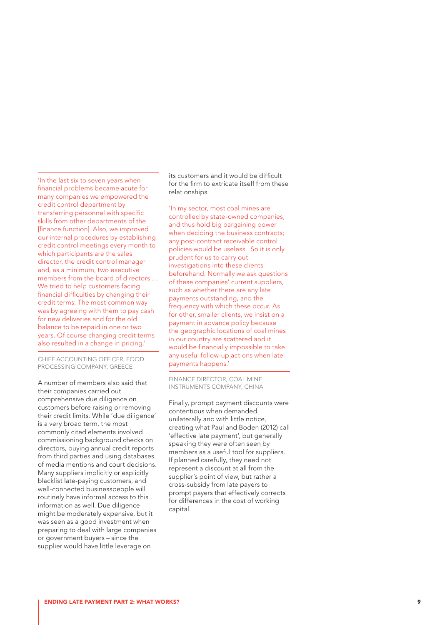'In the last six to seven years when financial problems became acute for many companies we empowered the credit control department by transferring personnel with specific skills from other departments of the [finance function]. Also, we improved our internal procedures by establishing credit control meetings every month to which participants are the sales director, the credit control manager and, as a minimum, two executive members from the board of directors.… We tried to help customers facing financial difficulties by changing their credit terms. The most common way was by agreeing with them to pay cash for new deliveries and for the old balance to be repaid in one or two years. Of course changing credit terms also resulted in a change in pricing.'

CHIEF ACCOUNTING OFFICER, FOOD PROCESSING COMPANY, GREECE

A number of members also said that their companies carried out comprehensive due diligence on customers before raising or removing their credit limits. While 'due diligence' is a very broad term, the most commonly cited elements involved commissioning background checks on directors, buying annual credit reports from third parties and using databases of media mentions and court decisions. Many suppliers implicitly or explicitly blacklist late-paying customers, and well-connected businesspeople will routinely have informal access to this information as well. Due diligence might be moderately expensive, but it was seen as a good investment when preparing to deal with large companies or government buyers – since the supplier would have little leverage on

its customers and it would be difficult for the firm to extricate itself from these relationships.

'In my sector, most coal mines are controlled by state-owned companies, and thus hold big bargaining power when deciding the business contracts; any post-contract receivable control policies would be useless. So it is only prudent for us to carry out investigations into these clients beforehand. Normally we ask questions of these companies' current suppliers, such as whether there are any late payments outstanding, and the frequency with which these occur. As for other, smaller clients, we insist on a payment in advance policy because the geographic locations of coal mines in our country are scattered and it would be financially impossible to take any useful follow-up actions when late payments happens.'

FINANCE DIRECTOR, COAL MINE INSTRUMENTS COMPANY, CHINA

Finally, prompt payment discounts were contentious when demanded unilaterally and with little notice, creating what Paul and Boden (2012) call 'effective late payment', but generally speaking they were often seen by members as a useful tool for suppliers. If planned carefully, they need not represent a discount at all from the supplier's point of view, but rather a cross-subsidy from late payers to prompt payers that effectively corrects for differences in the cost of working capital.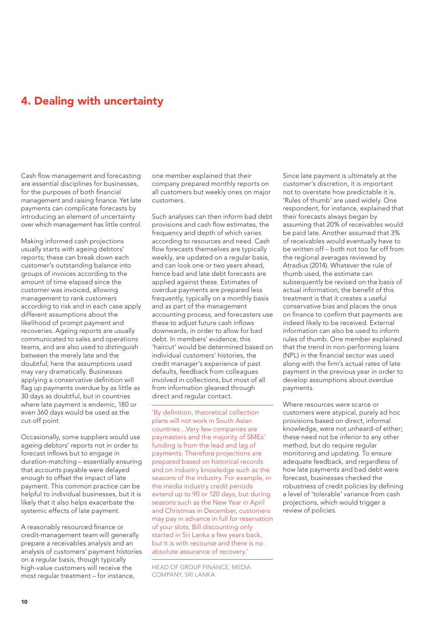## <span id="page-9-0"></span>4. Dealing with uncertainty

Cash flow management and forecasting are essential disciplines for businesses, for the purposes of both financial management and raising finance. Yet late payments can complicate forecasts by introducing an element of uncertainty over which management has little control.

Making informed cash projections usually starts with ageing debtors' reports; these can break down each customer's outstanding balance into groups of invoices according to the amount of time elapsed since the customer was invoiced, allowing management to rank customers according to risk and in each case apply different assumptions about the likelihood of prompt payment and recoveries. Ageing reports are usually communicated to sales and operations teams, and are also used to distinguish between the merely late and the doubtful; here the assumptions used may vary dramatically. Businesses applying a conservative definition will flag up payments overdue by as little as 30 days as doubtful, but in countries where late payment is endemic, 180 or even 360 days would be used as the cut-off point.

Occasionally, some suppliers would use ageing debtors' reports not in order to forecast inflows but to engage in duration-matching – essentially ensuring that accounts payable were delayed enough to offset the impact of late payment. This common practice can be helpful to individual businesses, but it is likely that it also helps exacerbate the systemic effects of late payment.

A reasonably resourced finance or credit-management team will generally prepare a receivables analysis and an analysis of customers' payment histories on a regular basis, though typically high-value customers will receive the most regular treatment – for instance,

one member explained that their company prepared monthly reports on all customers but weekly ones on major customers.

Such analyses can then inform bad debt provisions and cash flow estimates, the frequency and depth of which varies according to resources and need. Cash flow forecasts themselves are typically weekly, are updated on a regular basis, and can look one or two years ahead, hence bad and late debt forecasts are applied against these. Estimates of overdue payments are prepared less frequently, typically on a monthly basis and as part of the management accounting process, and forecasters use these to adjust future cash inflows downwards, in order to allow for bad debt. In members' evidence, this 'haircut' would be determined based on individual customers' histories, the credit manager's experience of past defaults, feedback from colleagues involved in collections, but most of all from information gleaned through direct and regular contact.

'By definition, theoretical collection plans will not work in South Asian countries…Very few companies are paymasters and the majority of SMEs' funding is from the lead and lag of payments. Therefore projections are prepared based on historical records and on industry knowledge such as the seasons of the industry. For example, in the media industry credit periods extend up to 90 or 120 days, but during seasons such as the New Year in April and Christmas in December, customers may pay in advance in full for reservation of your slots. Bill discounting only started in Sri Lanka a few years back, but it is with recourse and there is no absolute assurance of recovery.'

HEAD OF GROUP FINANCE, MEDIA COMPANY, SRI LANKA

Since late payment is ultimately at the customer's discretion, it is important not to overstate how predictable it is. 'Rules of thumb' are used widely. One respondent, for instance, explained that their forecasts always began by assuming that 20% of receivables would be paid late. Another assumed that 3% of receivables would eventually have to be written off – both not too far off from the regional averages reviewed by Atradius (2014). Whatever the rule of thumb used, the estimate can subsequently be revised on the basis of actual information; the benefit of this treatment is that it creates a useful conservative bias and places the onus on finance to confirm that payments are indeed likely to be received. External information can also be used to inform rules of thumb. One member explained that the trend in non-performing loans (NPL) in the financial sector was used along with the firm's actual rates of late payment in the previous year in order to develop assumptions about overdue payments.

Where resources were scarce or customers were atypical, purely ad hoc provisions based on direct, informal knowledge, were not unheard-of either; these need not be inferior to any other method, but do require regular monitoring and updating. To ensure adequate feedback, and regardless of how late payments and bad debt were forecast, businesses checked the robustness of credit policies by defining a level of 'tolerable' variance from cash projections, which would trigger a review of policies.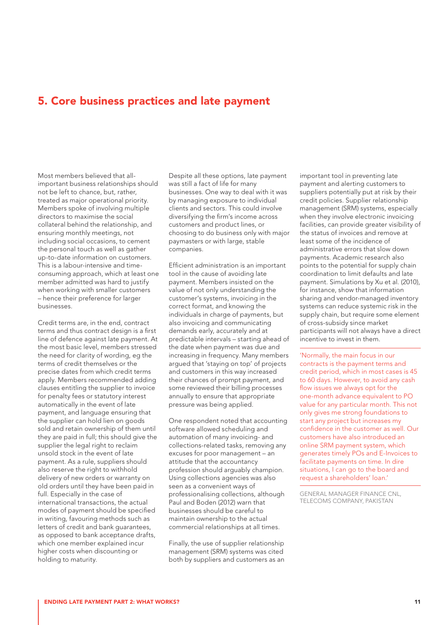## 5. Core business practices and late payment

Most members believed that allimportant business relationships should not be left to chance, but, rather, treated as major operational priority. Members spoke of involving multiple directors to maximise the social collateral behind the relationship, and ensuring monthly meetings, not including social occasions, to cement the personal touch as well as gather up-to-date information on customers. This is a labour-intensive and timeconsuming approach, which at least one member admitted was hard to justify when working with smaller customers – hence their preference for larger businesses.

Credit terms are, in the end, contract terms and thus contract design is a first line of defence against late payment. At the most basic level, members stressed the need for clarity of wording, eg the terms of credit themselves or the precise dates from which credit terms apply. Members recommended adding clauses entitling the supplier to invoice for penalty fees or statutory interest automatically in the event of late payment, and language ensuring that the supplier can hold lien on goods sold and retain ownership of them until they are paid in full; this should give the supplier the legal right to reclaim unsold stock in the event of late payment. As a rule, suppliers should also reserve the right to withhold delivery of new orders or warranty on old orders until they have been paid in full. Especially in the case of international transactions, the actual modes of payment should be specified in writing, favouring methods such as letters of credit and bank guarantees, as opposed to bank acceptance drafts, which one member explained incur higher costs when discounting or holding to maturity.

Despite all these options, late payment was still a fact of life for many businesses. One way to deal with it was by managing exposure to individual clients and sectors. This could involve diversifying the firm's income across customers and product lines, or choosing to do business only with major paymasters or with large, stable companies.

Efficient administration is an important tool in the cause of avoiding late payment. Members insisted on the value of not only understanding the customer's systems, invoicing in the correct format, and knowing the individuals in charge of payments, but also invoicing and communicating demands early, accurately and at predictable intervals – starting ahead of the date when payment was due and increasing in frequency. Many members argued that 'staying on top' of projects and customers in this way increased their chances of prompt payment, and some reviewed their billing processes annually to ensure that appropriate pressure was being applied.

One respondent noted that accounting software allowed scheduling and automation of many invoicing- and collections-related tasks, removing any excuses for poor management – an attitude that the accountancy profession should arguably champion. Using collections agencies was also seen as a convenient ways of professionalising collections, although Paul and Boden (2012) warn that businesses should be careful to maintain ownership to the actual commercial relationships at all times.

Finally, the use of supplier relationship management (SRM) systems was cited both by suppliers and customers as an important tool in preventing late payment and alerting customers to suppliers potentially put at risk by their credit policies. Supplier relationship management (SRM) systems, especially when they involve electronic invoicing facilities, can provide greater visibility of the status of invoices and remove at least some of the incidence of administrative errors that slow down payments. Academic research also points to the potential for supply chain coordination to limit defaults and late payment. Simulations by Xu et al. (2010), for instance, show that information sharing and vendor-managed inventory systems can reduce systemic risk in the supply chain, but require some element of cross-subsidy since market participants will not always have a direct incentive to invest in them.

'Normally, the main focus in our contracts is the payment terms and credit period, which in most cases is 45 to 60 days. However, to avoid any cash flow issues we always opt for the one-month advance equivalent to PO value for any particular month. This not only gives me strong foundations to start any project but increases my confidence in the customer as well. Our customers have also introduced an online SRM payment system, which generates timely POs and E-Invoices to facilitate payments on time. In dire situations, I can go to the board and request a shareholders' loan.'

GENERAL MANAGER FINANCE CNL, TELECOMS COMPANY, PAKISTAN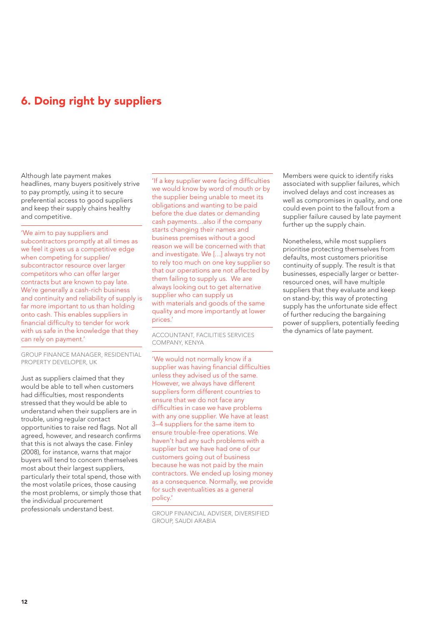## <span id="page-11-0"></span>6. Doing right by suppliers

Although late payment makes headlines, many buyers positively strive to pay promptly, using it to secure preferential access to good suppliers and keep their supply chains healthy and competitive.

'We aim to pay suppliers and subcontractors promptly at all times as we feel it gives us a competitive edge when competing for supplier/ subcontractor resource over larger competitors who can offer larger contracts but are known to pay late. We're generally a cash-rich business and continuity and reliability of supply is far more important to us than holding onto cash. This enables suppliers in financial difficulty to tender for work with us safe in the knowledge that they can rely on payment.'

GROUP FINANCE MANAGER, RESIDENTIAL PROPERTY DEVELOPER, UK

Just as suppliers claimed that they would be able to tell when customers had difficulties, most respondents stressed that they would be able to understand when their suppliers are in trouble, using regular contact opportunities to raise red flags. Not all agreed, however, and research confirms that this is not always the case. Finley (2008), for instance, warns that major buyers will tend to concern themselves most about their largest suppliers, particularly their total spend, those with the most volatile prices, those causing the most problems, or simply those that the individual procurement professionals understand best.

'If a key supplier were facing difficulties we would know by word of mouth or by the supplier being unable to meet its obligations and wanting to be paid before the due dates or demanding cash payments…also if the company starts changing their names and business premises without a good reason we will be concerned with that and investigate. We […] always try not to rely too much on one key supplier so that our operations are not affected by them failing to supply us. We are always looking out to get alternative supplier who can supply us with materials and goods of the same quality and more importantly at lower prices.'

ACCOUNTANT, FACILITIES SERVICES COMPANY, KENYA

'We would not normally know if a supplier was having financial difficulties unless they advised us of the same. However, we always have different suppliers form different countries to ensure that we do not face any difficulties in case we have problems with any one supplier. We have at least 3–4 suppliers for the same item to ensure trouble-free operations. We haven't had any such problems with a supplier but we have had one of our customers going out of business because he was not paid by the main contractors. We ended up losing money as a consequence. Normally, we provide for such eventualities as a general policy.'

GROUP FINANCIAL ADVISER, DIVERSIFIED GROUP, SAUDI ARABIA

Members were quick to identify risks associated with supplier failures, which involved delays and cost increases as well as compromises in quality, and one could even point to the fallout from a supplier failure caused by late payment further up the supply chain.

Nonetheless, while most suppliers prioritise protecting themselves from defaults, most customers prioritise continuity of supply. The result is that businesses, especially larger or betterresourced ones, will have multiple suppliers that they evaluate and keep on stand-by; this way of protecting supply has the unfortunate side effect of further reducing the bargaining power of suppliers, potentially feeding the dynamics of late payment.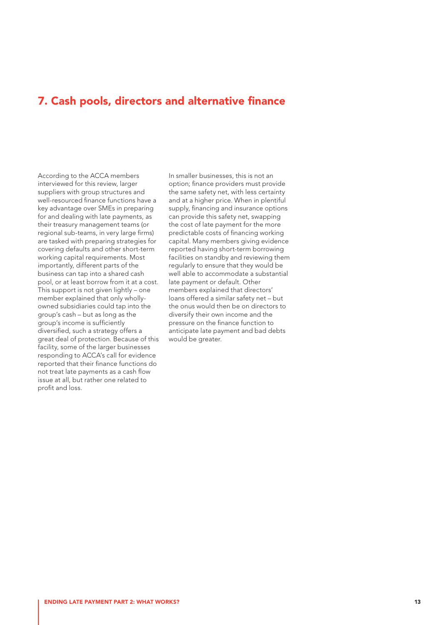### <span id="page-12-0"></span>7. Cash pools, directors and alternative finance

According to the ACCA members interviewed for this review, larger suppliers with group structures and well-resourced finance functions have a key advantage over SMEs in preparing for and dealing with late payments, as their treasury management teams (or regional sub-teams, in very large firms) are tasked with preparing strategies for covering defaults and other short-term working capital requirements. Most importantly, different parts of the business can tap into a shared cash pool, or at least borrow from it at a cost. This support is not given lightly – one member explained that only whollyowned subsidiaries could tap into the group's cash – but as long as the group's income is sufficiently diversified, such a strategy offers a great deal of protection. Because of this facility, some of the larger businesses responding to ACCA's call for evidence reported that their finance functions do not treat late payments as a cash flow issue at all, but rather one related to profit and loss.

In smaller businesses, this is not an option; finance providers must provide the same safety net, with less certainty and at a higher price. When in plentiful supply, financing and insurance options can provide this safety net, swapping the cost of late payment for the more predictable costs of financing working capital. Many members giving evidence reported having short-term borrowing facilities on standby and reviewing them regularly to ensure that they would be well able to accommodate a substantial late payment or default. Other members explained that directors' loans offered a similar safety net – but the onus would then be on directors to diversify their own income and the pressure on the finance function to anticipate late payment and bad debts would be greater.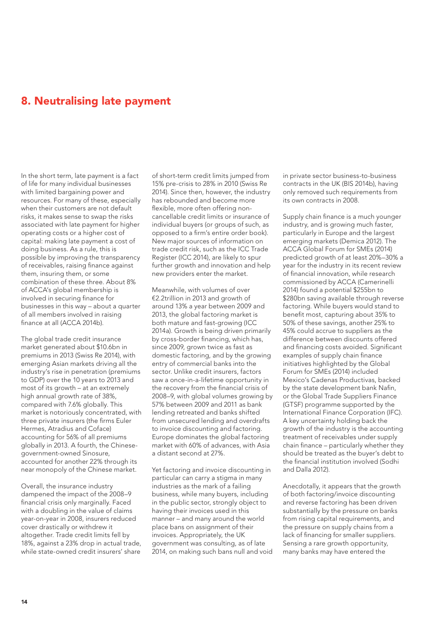## <span id="page-13-0"></span>8. Neutralising late payment

In the short term, late payment is a fact of life for many individual businesses with limited bargaining power and resources. For many of these, especially when their customers are not default risks, it makes sense to swap the risks associated with late payment for higher operating costs or a higher cost of capital: making late payment a cost of doing business. As a rule, this is possible by improving the transparency of receivables, raising finance against them, insuring them, or some combination of these three. About 8% of ACCA's global membership is involved in securing finance for businesses in this way – about a quarter of all members involved in raising finance at all (ACCA 2014b).

The global trade credit insurance market generated about \$10.6bn in premiums in 2013 (Swiss Re 2014), with emerging Asian markets driving all the industry's rise in penetration (premiums to GDP) over the 10 years to 2013 and most of its growth – at an extremely high annual growth rate of 38%, compared with 7.6% globally. This market is notoriously concentrated, with three private insurers (the firms Euler Hermes, Atradius and Coface) accounting for 56% of all premiums globally in 2013. A fourth, the Chinesegovernment-owned Sinosure, accounted for another 22% through its near monopoly of the Chinese market.

Overall, the insurance industry dampened the impact of the 2008–9 financial crisis only marginally. Faced with a doubling in the value of claims year-on-year in 2008, insurers reduced cover drastically or withdrew it altogether. Trade credit limits fell by 18%, against a 23% drop in actual trade, while state-owned credit insurers' share

of short-term credit limits jumped from 15% pre-crisis to 28% in 2010 (Swiss Re 2014). Since then, however, the industry has rebounded and become more flexible, more often offering noncancellable credit limits or insurance of individual buyers (or groups of such, as opposed to a firm's entire order book). New major sources of information on trade credit risk, such as the ICC Trade Register (ICC 2014), are likely to spur further growth and innovation and help new providers enter the market.

Meanwhile, with volumes of over €2.2trillion in 2013 and growth of around 13% a year between 2009 and 2013, the global factoring market is both mature and fast-growing (ICC 2014a). Growth is being driven primarily by cross-border financing, which has, since 2009, grown twice as fast as domestic factoring, and by the growing entry of commercial banks into the sector. Unlike credit insurers, factors saw a once-in-a-lifetime opportunity in the recovery from the financial crisis of 2008–9, with global volumes growing by 57% between 2009 and 2011 as bank lending retreated and banks shifted from unsecured lending and overdrafts to invoice discounting and factoring. Europe dominates the global factoring market with 60% of advances, with Asia a distant second at 27%.

Yet factoring and invoice discounting in particular can carry a stigma in many industries as the mark of a failing business, while many buyers, including in the public sector, strongly object to having their invoices used in this manner – and many around the world place bans on assignment of their invoices. Appropriately, the UK government was consulting, as of late 2014, on making such bans null and void in private sector business-to-business contracts in the UK (BIS 2014b), having only removed such requirements from its own contracts in 2008.

Supply chain finance is a much younger industry, and is growing much faster, particularly in Europe and the largest emerging markets (Demica 2012). The ACCA Global Forum for SMEs (2014) predicted growth of at least 20%–30% a year for the industry in its recent review of financial innovation, while research commissioned by ACCA (Camerinelli 2014) found a potential \$255bn to \$280bn saving available through reverse factoring. While buyers would stand to benefit most, capturing about 35% to 50% of these savings, another 25% to 45% could accrue to suppliers as the difference between discounts offered and financing costs avoided. Significant examples of supply chain finance initiatives highlighted by the Global Forum for SMEs (2014) included Mexico's Cadenas Productivas, backed by the state development bank Nafin, or the Global Trade Suppliers Finance (GTSF) programme supported by the International Finance Corporation (IFC). A key uncertainty holding back the growth of the industry is the accounting treatment of receivables under supply chain finance – particularly whether they should be treated as the buyer's debt to the financial institution involved (Sodhi and Dalla 2012).

Anecdotally, it appears that the growth of both factoring/invoice discounting and reverse factoring has been driven substantially by the pressure on banks from rising capital requirements, and the pressure on supply chains from a lack of financing for smaller suppliers. Sensing a rare growth opportunity, many banks may have entered the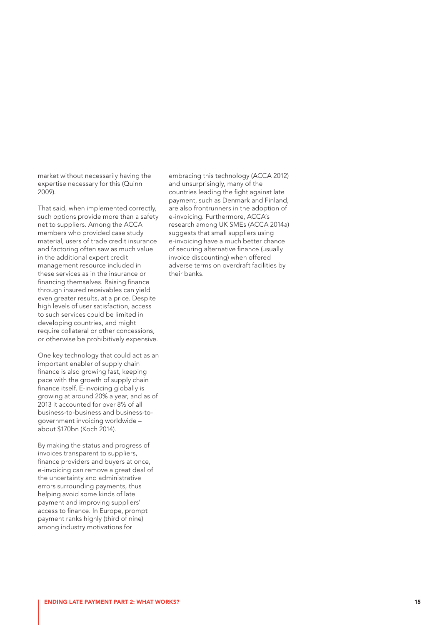market without necessarily having the expertise necessary for this (Quinn 2009).

That said, when implemented correctly, such options provide more than a safety net to suppliers. Among the ACCA members who provided case study material, users of trade credit insurance and factoring often saw as much value in the additional expert credit management resource included in these services as in the insurance or financing themselves. Raising finance through insured receivables can yield even greater results, at a price. Despite high levels of user satisfaction, access to such services could be limited in developing countries, and might require collateral or other concessions, or otherwise be prohibitively expensive.

One key technology that could act as an important enabler of supply chain finance is also growing fast, keeping pace with the growth of supply chain finance itself. E-invoicing globally is growing at around 20% a year, and as of 2013 it accounted for over 8% of all business-to-business and business-togovernment invoicing worldwide – about \$170bn (Koch 2014).

By making the status and progress of invoices transparent to suppliers, finance providers and buyers at once, e-invoicing can remove a great deal of the uncertainty and administrative errors surrounding payments, thus helping avoid some kinds of late payment and improving suppliers' access to finance. In Europe, prompt payment ranks highly (third of nine) among industry motivations for

embracing this technology (ACCA 2012) and unsurprisingly, many of the countries leading the fight against late payment, such as Denmark and Finland, are also frontrunners in the adoption of e-invoicing. Furthermore, ACCA's research among UK SMEs (ACCA 2014a) suggests that small suppliers using e-invoicing have a much better chance of securing alternative finance (usually invoice discounting) when offered adverse terms on overdraft facilities by their banks.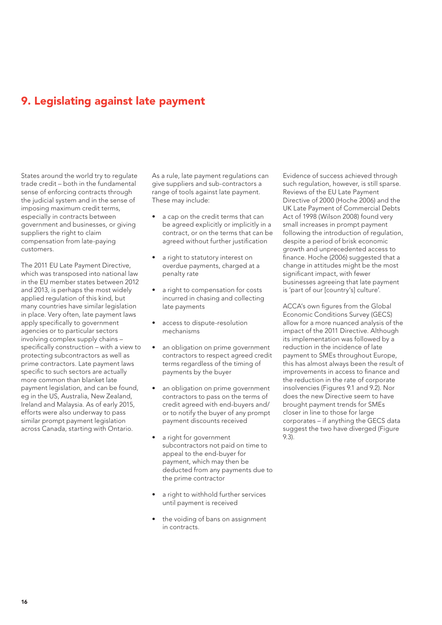## <span id="page-15-0"></span>9. Legislating against late payment

States around the world try to regulate trade credit – both in the fundamental sense of enforcing contracts through the judicial system and in the sense of imposing maximum credit terms, especially in contracts between government and businesses, or giving suppliers the right to claim compensation from late-paying customers.

The 2011 EU Late Payment Directive, which was transposed into national law in the EU member states between 2012 and 2013, is perhaps the most widely applied regulation of this kind, but many countries have similar legislation in place. Very often, late payment laws apply specifically to government agencies or to particular sectors involving complex supply chains – specifically construction – with a view to protecting subcontractors as well as prime contractors. Late payment laws specific to such sectors are actually more common than blanket late payment legislation, and can be found, eg in the US, Australia, New Zealand, Ireland and Malaysia. As of early 2015, efforts were also underway to pass similar prompt payment legislation across Canada, starting with Ontario.

As a rule, late payment regulations can give suppliers and sub-contractors a range of tools against late payment. These may include:

- a cap on the credit terms that can be agreed explicitly or implicitly in a contract, or on the terms that can be agreed without further justification
- a right to statutory interest on overdue payments, charged at a penalty rate
- a right to compensation for costs incurred in chasing and collecting late payments
- access to dispute-resolution mechanisms
- an obligation on prime government contractors to respect agreed credit terms regardless of the timing of payments by the buyer
- an obligation on prime government contractors to pass on the terms of credit agreed with end-buyers and/ or to notify the buyer of any prompt payment discounts received
- a right for government subcontractors not paid on time to appeal to the end-buyer for payment, which may then be deducted from any payments due to the prime contractor
- a right to withhold further services until payment is received
- the voiding of bans on assignment in contracts.

Evidence of success achieved through such regulation, however, is still sparse. Reviews of the EU Late Payment Directive of 2000 (Hoche 2006) and the UK Late Payment of Commercial Debts Act of 1998 (Wilson 2008) found very small increases in prompt payment following the introduction of regulation, despite a period of brisk economic growth and unprecedented access to finance. Hoche (2006) suggested that a change in attitudes might be the most significant impact, with fewer businesses agreeing that late payment is 'part of our [country's] culture'.

ACCA's own figures from the Global Economic Conditions Survey (GECS) allow for a more nuanced analysis of the impact of the 2011 Directive. Although its implementation was followed by a reduction in the incidence of late payment to SMEs throughout Europe, this has almost always been the result of improvements in access to finance and the reduction in the rate of corporate insolvencies (Figures 9.1 and 9.2). Nor does the new Directive seem to have brought payment trends for SMEs closer in line to those for large corporates – if anything the GECS data suggest the two have diverged (Figure 9.3).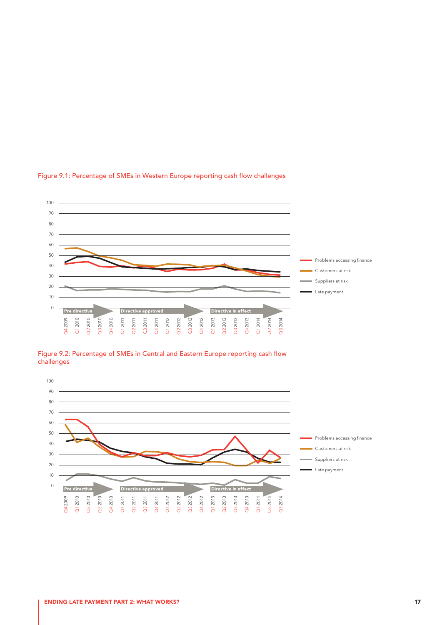![](_page_16_Figure_0.jpeg)

#### Figure 9.1: Percentage of SMEs in Western Europe reporting cash flow challenges

![](_page_16_Figure_2.jpeg)

![](_page_16_Figure_3.jpeg)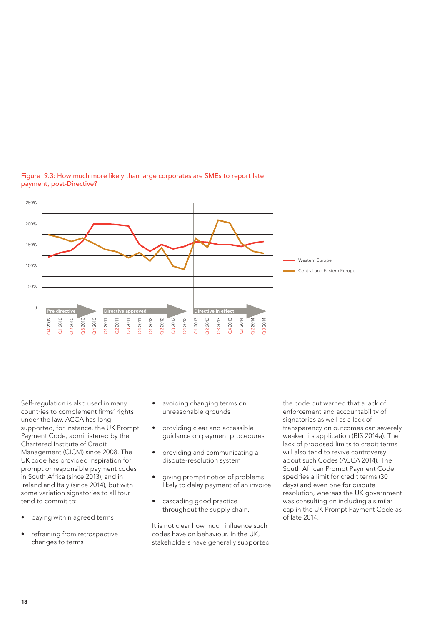![](_page_17_Figure_0.jpeg)

#### Figure 9.3: How much more likely than large corporates are SMEs to report late payment, post-Directive?

Self-regulation is also used in many countries to complement firms' rights under the law. ACCA has long supported, for instance, the UK Prompt Payment Code, administered by the Chartered Institute of Credit Management (CICM) since 2008. The UK code has provided inspiration for prompt or responsible payment codes in South Africa (since 2013), and in Ireland and Italy (since 2014), but with some variation signatories to all four tend to commit to:

- paying within agreed terms
- refraining from retrospective changes to terms
- avoiding changing terms on unreasonable grounds
- providing clear and accessible guidance on payment procedures
- providing and communicating a dispute-resolution system
- giving prompt notice of problems likely to delay payment of an invoice
- cascading good practice throughout the supply chain.

It is not clear how much influence such codes have on behaviour. In the UK, stakeholders have generally supported the code but warned that a lack of enforcement and accountability of signatories as well as a lack of transparency on outcomes can severely weaken its application (BIS 2014a). The lack of proposed limits to credit terms will also tend to revive controversy about such Codes (ACCA 2014). The South African Prompt Payment Code specifies a limit for credit terms (30 days) and even one for dispute resolution, whereas the UK government was consulting on including a similar cap in the UK Prompt Payment Code as of late 2014.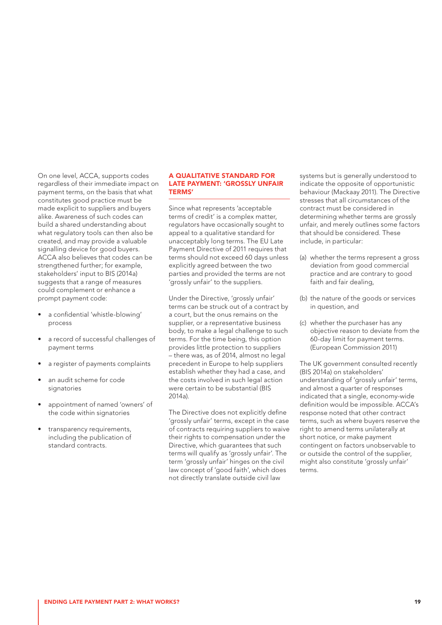On one level, ACCA, supports codes regardless of their immediate impact on payment terms, on the basis that what constitutes good practice must be made explicit to suppliers and buyers alike. Awareness of such codes can build a shared understanding about what regulatory tools can then also be created, and may provide a valuable signalling device for good buyers. ACCA also believes that codes can be strengthened further; for example, stakeholders' input to BIS (2014a) suggests that a range of measures could complement or enhance a prompt payment code:

- a confidential 'whistle-blowing' process
- a record of successful challenges of payment terms
- a register of payments complaints
- an audit scheme for code signatories
- appointment of named 'owners' of the code within signatories
- transparency requirements, including the publication of standard contracts.

#### A QUALITATIVE STANDARD FOR LATE PAYMENT: 'GROSSLY UNFAIR TERMS'

Since what represents 'acceptable terms of credit' is a complex matter, regulators have occasionally sought to appeal to a qualitative standard for unacceptably long terms. The EU Late Payment Directive of 2011 requires that terms should not exceed 60 days unless explicitly agreed between the two parties and provided the terms are not 'grossly unfair' to the suppliers.

Under the Directive, 'grossly unfair' terms can be struck out of a contract by a court, but the onus remains on the supplier, or a representative business body, to make a legal challenge to such terms. For the time being, this option provides little protection to suppliers – there was, as of 2014, almost no legal precedent in Europe to help suppliers establish whether they had a case, and the costs involved in such legal action were certain to be substantial (BIS 2014a).

The Directive does not explicitly define 'grossly unfair' terms, except in the case of contracts requiring suppliers to waive their rights to compensation under the Directive, which guarantees that such terms will qualify as 'grossly unfair'. The term 'grossly unfair' hinges on the civil law concept of 'good faith', which does not directly translate outside civil law

systems but is generally understood to indicate the opposite of opportunistic behaviour (Mackaay 2011). The Directive stresses that all circumstances of the contract must be considered in determining whether terms are grossly unfair, and merely outlines some factors that should be considered. These include, in particular:

- (a) whether the terms represent a gross deviation from good commercial practice and are contrary to good faith and fair dealing,
- (b) the nature of the goods or services in question, and
- (c) whether the purchaser has any objective reason to deviate from the 60-day limit for payment terms. (European Commission 2011)

The UK government consulted recently (BIS 2014a) on stakeholders' understanding of 'grossly unfair' terms, and almost a quarter of responses indicated that a single, economy-wide definition would be impossible. ACCA's response noted that other contract terms, such as where buyers reserve the right to amend terms unilaterally at short notice, or make payment contingent on factors unobservable to or outside the control of the supplier, might also constitute 'grossly unfair' terms.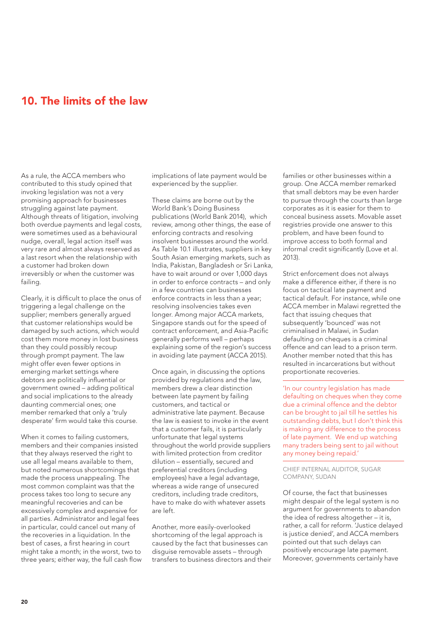## <span id="page-19-0"></span>10. The limits of the law

As a rule, the ACCA members who contributed to this study opined that invoking legislation was not a very promising approach for businesses struggling against late payment. Although threats of litigation, involving both overdue payments and legal costs, were sometimes used as a behavioural nudge, overall, legal action itself was very rare and almost always reserved as a last resort when the relationship with a customer had broken down irreversibly or when the customer was failing.

Clearly, it is difficult to place the onus of triggering a legal challenge on the supplier; members generally argued that customer relationships would be damaged by such actions, which would cost them more money in lost business than they could possibly recoup through prompt payment. The law might offer even fewer options in emerging market settings where debtors are politically influential or government owned – adding political and social implications to the already daunting commercial ones; one member remarked that only a 'truly desperate' firm would take this course.

When it comes to failing customers, members and their companies insisted that they always reserved the right to use all legal means available to them, but noted numerous shortcomings that made the process unappealing. The most common complaint was that the process takes too long to secure any meaningful recoveries and can be excessively complex and expensive for all parties. Administrator and legal fees in particular, could cancel out many of the recoveries in a liquidation. In the best of cases, a first hearing in court might take a month; in the worst, two to three years; either way, the full cash flow implications of late payment would be experienced by the supplier.

These claims are borne out by the World Bank's Doing Business publications (World Bank 2014), which review, among other things, the ease of enforcing contracts and resolving insolvent businesses around the world. As Table 10.1 illustrates, suppliers in key South Asian emerging markets, such as India, Pakistan, Bangladesh or Sri Lanka, have to wait around or over 1,000 days in order to enforce contracts – and only in a few countries can businesses enforce contracts in less than a year; resolving insolvencies takes even longer. Among major ACCA markets, Singapore stands out for the speed of contract enforcement, and Asia-Pacific generally performs well – perhaps explaining some of the region's success in avoiding late payment (ACCA 2015).

Once again, in discussing the options provided by regulations and the law, members drew a clear distinction between late payment by failing customers, and tactical or administrative late payment. Because the law is easiest to invoke in the event that a customer fails, it is particularly unfortunate that legal systems throughout the world provide suppliers with limited protection from creditor dilution – essentially, secured and preferential creditors (including employees) have a legal advantage, whereas a wide range of unsecured creditors, including trade creditors, have to make do with whatever assets are left.

Another, more easily-overlooked shortcoming of the legal approach is caused by the fact that businesses can disguise removable assets – through transfers to business directors and their families or other businesses within a group. One ACCA member remarked that small debtors may be even harder to pursue through the courts than large corporates as it is easier for them to conceal business assets. Movable asset registries provide one answer to this problem, and have been found to improve access to both formal and informal credit significantly (Love et al. 2013).

Strict enforcement does not always make a difference either, if there is no focus on tactical late payment and tactical default. For instance, while one ACCA member in Malawi regretted the fact that issuing cheques that subsequently 'bounced' was not criminalised in Malawi, in Sudan defaulting on cheques is a criminal offence and can lead to a prison term. Another member noted that this has resulted in incarcerations but without proportionate recoveries.

'In our country legislation has made defaulting on cheques when they come due a criminal offence and the debtor can be brought to jail till he settles his outstanding debts, but I don't think this is making any difference to the process of late payment. We end up watching many traders being sent to jail without any money being repaid.'

CHIEF INTERNAL AUDITOR, SUGAR COMPANY, SUDAN

Of course, the fact that businesses might despair of the legal system is no argument for governments to abandon the idea of redress altogether – it is, rather, a call for reform. 'Justice delayed is justice denied', and ACCA members pointed out that such delays can positively encourage late payment. Moreover, governments certainly have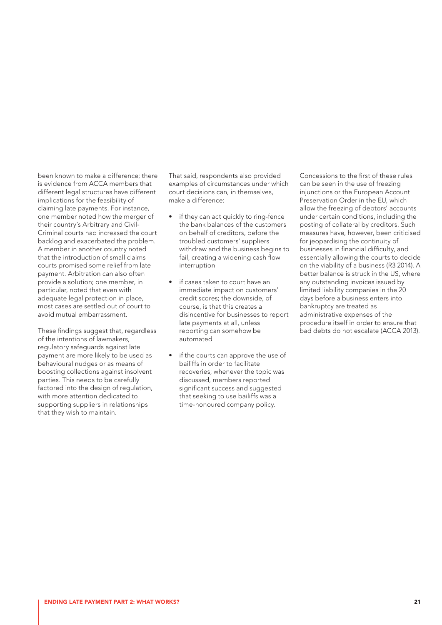been known to make a difference; there is evidence from ACCA members that different legal structures have different implications for the feasibility of claiming late payments. For instance, one member noted how the merger of their country's Arbitrary and Civil-Criminal courts had increased the court backlog and exacerbated the problem. A member in another country noted that the introduction of small claims courts promised some relief from late payment. Arbitration can also often provide a solution; one member, in particular, noted that even with adequate legal protection in place, most cases are settled out of court to avoid mutual embarrassment.

These findings suggest that, regardless of the intentions of lawmakers, regulatory safeguards against late payment are more likely to be used as behavioural nudges or as means of boosting collections against insolvent parties. This needs to be carefully factored into the design of regulation, with more attention dedicated to supporting suppliers in relationships that they wish to maintain.

That said, respondents also provided examples of circumstances under which court decisions can, in themselves, make a difference:

- if they can act quickly to ring-fence the bank balances of the customers on behalf of creditors, before the troubled customers' suppliers withdraw and the business begins to fail, creating a widening cash flow interruption
- if cases taken to court have an immediate impact on customers' credit scores; the downside, of course, is that this creates a disincentive for businesses to report late payments at all, unless reporting can somehow be automated
- • if the courts can approve the use of bailiffs in order to facilitate recoveries; whenever the topic was discussed, members reported significant success and suggested that seeking to use bailiffs was a time-honoured company policy.

Concessions to the first of these rules can be seen in the use of freezing injunctions or the European Account Preservation Order in the EU, which allow the freezing of debtors' accounts under certain conditions, including the posting of collateral by creditors. Such measures have, however, been criticised for jeopardising the continuity of businesses in financial difficulty, and essentially allowing the courts to decide on the viability of a business (R3 2014). A better balance is struck in the US, where any outstanding invoices issued by limited liability companies in the 20 days before a business enters into bankruptcy are treated as administrative expenses of the procedure itself in order to ensure that bad debts do not escalate (ACCA 2013).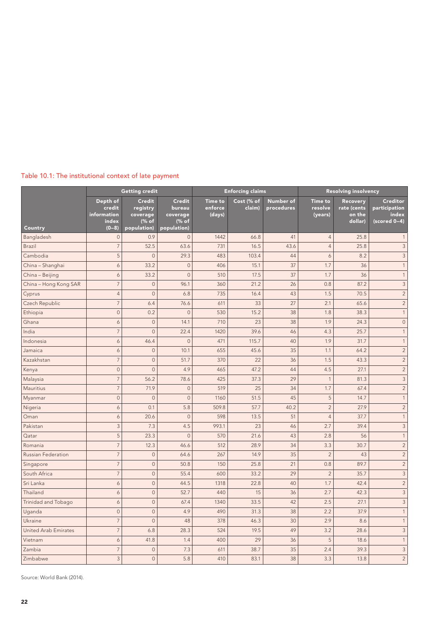| Table 10.1: The institutional context of late payment |  |  |
|-------------------------------------------------------|--|--|
|-------------------------------------------------------|--|--|

|                             | <b>Getting credit</b>                                 |                                                               |                                                             | <b>Enforcing claims</b>             |                      |                         | <b>Resolving insolvency</b>          |                                              |                                                      |
|-----------------------------|-------------------------------------------------------|---------------------------------------------------------------|-------------------------------------------------------------|-------------------------------------|----------------------|-------------------------|--------------------------------------|----------------------------------------------|------------------------------------------------------|
| Country                     | Depth of<br>credit<br>information<br>index<br>$(0-8)$ | <b>Credit</b><br>registry<br>coverage<br>(% of<br>population) | <b>Credit</b><br>bureau<br>coverage<br>(% of<br>population) | <b>Time to</b><br>enforce<br>(days) | Cost (% of<br>claim) | Number of<br>procedures | <b>Time to</b><br>resolve<br>(years) | Recovery<br>rate (cents<br>on the<br>dollar) | Creditor<br>participation<br>index<br>$(scored 0-4)$ |
| Bangladesh                  | $\mathbf 0$                                           | 0.9                                                           | $\mathbf 0$                                                 | 1442                                | 66.8                 | 41                      | $\overline{4}$                       | 25.8                                         | 1                                                    |
| Brazil                      | $\overline{7}$                                        | 52.5                                                          | 63.6                                                        | 731                                 | 16.5                 | 43.6                    | $\overline{4}$                       | 25.8                                         | $\mathsf 3$                                          |
| Cambodia                    | 5                                                     | $\mathbf 0$                                                   | 29.3                                                        | 483                                 | 103.4                | 44                      | 6                                    | 8.2                                          | $\mathsf 3$                                          |
| China - Shanghai            | 6                                                     | 33.2                                                          | $\mathbf 0$                                                 | 406                                 | 15.1                 | 37                      | 1.7                                  | 36                                           | $\mathbf{1}$                                         |
| China - Beijing             | $\boldsymbol{6}$                                      | 33.2                                                          | $\overline{0}$                                              | 510                                 | 17.5                 | 37                      | 1.7                                  | 36                                           | $\mathbf{1}$                                         |
| China - Hong Kong SAR       | $\overline{7}$                                        | $\overline{0}$                                                | 96.1                                                        | 360                                 | 21.2                 | 26                      | 0.8                                  | 87.2                                         | $\mathsf 3$                                          |
| Cyprus                      | $\overline{4}$                                        | $\overline{0}$                                                | 6.8                                                         | 735                                 | 16.4                 | 43                      | 1.5                                  | 70.5                                         | $\sqrt{2}$                                           |
| Czech Republic              | $\overline{7}$                                        | 6.4                                                           | 76.6                                                        | 611                                 | 33                   | 27                      | 2.1                                  | 65.6                                         | $\overline{c}$                                       |
| Ethiopia                    | $\mathbf 0$                                           | 0.2                                                           | $\overline{0}$                                              | 530                                 | 15.2                 | 38                      | 1.8                                  | 38.3                                         | $\mathbf{1}$                                         |
| Ghana                       | 6                                                     | $\mathbf 0$                                                   | 14.1                                                        | 710                                 | 23                   | 38                      | 1.9                                  | 24.3                                         | $\mathbf 0$                                          |
| India                       | $\overline{7}$                                        | $\overline{0}$                                                | 22.4                                                        | 1420                                | 39.6                 | 46                      | 4.3                                  | 25.7                                         | $\mathbf{1}$                                         |
| Indonesia                   | 6                                                     | 46.4                                                          | $\overline{0}$                                              | 471                                 | 115.7                | 40                      | 1.9                                  | 31.7                                         | $\mathbf{1}$                                         |
| Jamaica                     | 6                                                     | $\mathbf 0$                                                   | 10.1                                                        | 655                                 | 45.6                 | 35                      | 1.1                                  | 64.2                                         | $\overline{c}$                                       |
| Kazakhstan                  | $\overline{7}$                                        | $\overline{0}$                                                | 51.7                                                        | 370                                 | 22                   | 36                      | 1.5                                  | 43.3                                         | $\overline{c}$                                       |
| Kenya                       | $\mathbf 0$                                           | $\overline{0}$                                                | 4.9                                                         | 465                                 | 47.2                 | 44                      | 4.5                                  | 27.1                                         | $\overline{c}$                                       |
| Malaysia                    | $\overline{7}$                                        | 56.2                                                          | 78.6                                                        | 425                                 | 37.3                 | 29                      | $\mathbf{1}$                         | 81.3                                         | $\mathsf 3$                                          |
| Mauritius                   | $\overline{7}$                                        | 71.9                                                          | $\mathsf{O}\xspace$                                         | 519                                 | 25                   | 34                      | 1.7                                  | 67.4                                         | $\sqrt{2}$                                           |
| Myanmar                     | $\mathbf 0$                                           | $\mathbf 0$                                                   | $\mathbf 0$                                                 | 1160                                | 51.5                 | 45                      | 5                                    | 14.7                                         | $\mathbf{1}$                                         |
| Nigeria                     | $\boldsymbol{6}$                                      | 0.1                                                           | 5.8                                                         | 509.8                               | 57.7                 | 40.2                    | $\overline{c}$                       | 27.9                                         | $\overline{c}$                                       |
| Oman                        | 6                                                     | 20.6                                                          | $\mathbf 0$                                                 | 598                                 | 13.5                 | 51                      | $\overline{4}$                       | 37.7                                         | $\mathbf{1}$                                         |
| Pakistan                    | $\mathsf 3$                                           | 7.3                                                           | 4.5                                                         | 993.1                               | 23                   | 46                      | 2.7                                  | 39.4                                         | $\ensuremath{\mathsf{3}}$                            |
| Qatar                       | 5                                                     | 23.3                                                          | $\overline{0}$                                              | 570                                 | 21.6                 | 43                      | 2.8                                  | 56                                           | $\mathbf{1}$                                         |
| Romania                     | $\overline{7}$                                        | 12.3                                                          | 46.6                                                        | 512                                 | 28.9                 | 34                      | 3.3                                  | 30.7                                         | $\overline{c}$                                       |
| <b>Russian Federation</b>   | $\overline{7}$                                        | $\overline{0}$                                                | 64.6                                                        | 267                                 | 14.9                 | 35                      | $\overline{2}$                       | 43                                           | $\sqrt{2}$                                           |
| Singapore                   | $\overline{7}$                                        | $\mathbf 0$                                                   | 50.8                                                        | 150                                 | 25.8                 | 21                      | 0.8                                  | 89.7                                         | $\overline{c}$                                       |
| South Africa                | $\overline{7}$                                        | $\mathbf 0$                                                   | 55.4                                                        | 600                                 | 33.2                 | 29                      | $\overline{2}$                       | 35.7                                         | $\ensuremath{\mathsf{3}}$                            |
| Sri Lanka                   | $\boldsymbol{6}$                                      | $\mathbf 0$                                                   | 44.5                                                        | 1318                                | 22.8                 | 40                      | 1.7                                  | 42.4                                         | $\overline{c}$                                       |
| Thailand                    | 6                                                     | $\overline{0}$                                                | 52.7                                                        | 440                                 | 15                   | 36                      | 2.7                                  | 42.3                                         | $\ensuremath{\mathsf{3}}$                            |
| Trinidad and Tobago         | $\boldsymbol{6}$                                      | $\mathbf 0$                                                   | 67.4                                                        | 1340                                | 33.5                 | 42                      | 2.5                                  | 27.1                                         | $\mathsf 3$                                          |
| Uganda                      | $\mathbf 0$                                           | $\circ$                                                       | 4.9                                                         | 490                                 | 31.3                 | 38                      | 2.2                                  | 37.9                                         | $\mathbf{1}$                                         |
| Ukraine                     | $\overline{7}$                                        | $\mathbf 0$                                                   | 48                                                          | 378                                 | 46.3                 | 30                      | 2.9                                  | 8.6                                          | $\mathbf{1}$                                         |
| <b>United Arab Emirates</b> | $\overline{7}$                                        | 6.8                                                           | 28.3                                                        | 524                                 | 19.5                 | 49                      | 3.2                                  | 28.6                                         | $\mathsf 3$                                          |
| Vietnam                     | $\boldsymbol{6}$                                      | 41.8                                                          | 1.4                                                         | 400                                 | 29                   | 36                      | 5                                    | 18.6                                         | $\mathbf{1}$                                         |
| Zambia                      | $\overline{7}$                                        | $\mathbb O$                                                   | 7.3                                                         | 611                                 | 38.7                 | 35                      | 2.4                                  | 39.3                                         | $\ensuremath{\mathsf{3}}$                            |
| Zimbabwe                    | 3                                                     | $\mathbf 0$                                                   | 5.8                                                         | 410                                 | 83.1                 | 38                      | 3.3                                  | 13.8                                         | $\overline{c}$                                       |

Source: World Bank (2014).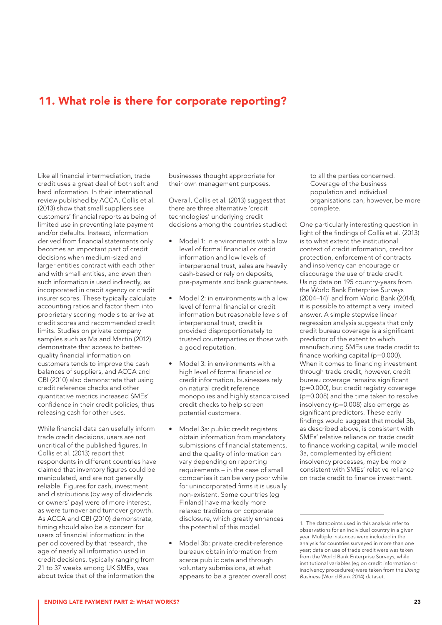## 11. What role is there for corporate reporting?

Like all financial intermediation, trade credit uses a great deal of both soft and hard information. In their international review published by ACCA, Collis et al. (2013) show that small suppliers see customers' financial reports as being of limited use in preventing late payment and/or defaults. Instead, information derived from financial statements only becomes an important part of credit decisions when medium-sized and larger entities contract with each other and with small entities, and even then such information is used indirectly, as incorporated in credit agency or credit insurer scores. These typically calculate accounting ratios and factor them into proprietary scoring models to arrive at credit scores and recommended credit limits. Studies on private company samples such as Ma and Martin (2012) demonstrate that access to betterquality financial information on customers tends to improve the cash balances of suppliers, and ACCA and CBI (2010) also demonstrate that using credit reference checks and other quantitative metrics increased SMEs' confidence in their credit policies, thus releasing cash for other uses.

While financial data can usefully inform trade credit decisions, users are not uncritical of the published figures. In Collis et al. (2013) report that respondents in different countries have claimed that inventory figures could be manipulated, and are not generally reliable. Figures for cash, investment and distributions (by way of dividends or owners' pay) were of more interest, as were turnover and turnover growth. As ACCA and CBI (2010) demonstrate, timing should also be a concern for users of financial information: in the period covered by that research, the age of nearly all information used in credit decisions, typically ranging from 21 to 37 weeks among UK SMEs, was about twice that of the information the

businesses thought appropriate for their own management purposes.

Overall, Collis et al. (2013) suggest that there are three alternative 'credit technologies' underlying credit decisions among the countries studied:

- Model 1: in environments with a low level of formal financial or credit information and low levels of interpersonal trust, sales are heavily cash-based or rely on deposits, pre-payments and bank guarantees.
- Model 2: in environments with a low level of formal financial or credit information but reasonable levels of interpersonal trust, credit is provided disproportionately to trusted counterparties or those with a good reputation.
- Model 3: in environments with a high level of formal financial or credit information, businesses rely on natural credit reference monopolies and highly standardised credit checks to help screen potential customers.
- Model 3a: public credit registers obtain information from mandatory submissions of financial statements, and the quality of information can vary depending on reporting requirements – in the case of small companies it can be very poor while for unincorporated firms it is usually non-existent. Some countries (eg Finland) have markedly more relaxed traditions on corporate disclosure, which greatly enhances the potential of this model.
- Model 3b: private credit-reference bureaux obtain information from scarce public data and through voluntary submissions, at what appears to be a greater overall cost

to all the parties concerned. Coverage of the business population and individual organisations can, however, be more complete.

One particularly interesting question in light of the findings of Collis et al. (2013) is to what extent the institutional context of credit information, creditor protection, enforcement of contracts and insolvency can encourage or discourage the use of trade credit. Using data on 195 country-years from the World Bank Enterprise Surveys (2004–14)1 and from World Bank (2014), it is possible to attempt a very limited answer. A simple stepwise linear regression analysis suggests that only credit bureau coverage is a significant predictor of the extent to which manufacturing SMEs use trade credit to finance working capital (p=0.000). When it comes to financing investment through trade credit, however, credit bureau coverage remains significant (p=0.000), but credit registry coverage (p=0.008) and the time taken to resolve insolvency (p=0.008) also emerge as significant predictors. These early findings would suggest that model 3b, as described above, is consistent with SMEs' relative reliance on trade credit to finance working capital, while model 3a, complemented by efficient insolvency processes, may be more consistent with SMEs' relative reliance on trade credit to finance investment.

<sup>1.</sup> The datapoints used in this analysis refer to observations for an individual country in a given year. Multiple instances were included in the analysis for countries surveyed in more than one year; data on use of trade credit were was taken from the World Bank Enterprise Surveys, while institutional variables (eg on credit information or insolvency procedures) were taken from the *Doing Business* (World Bank 2014) dataset.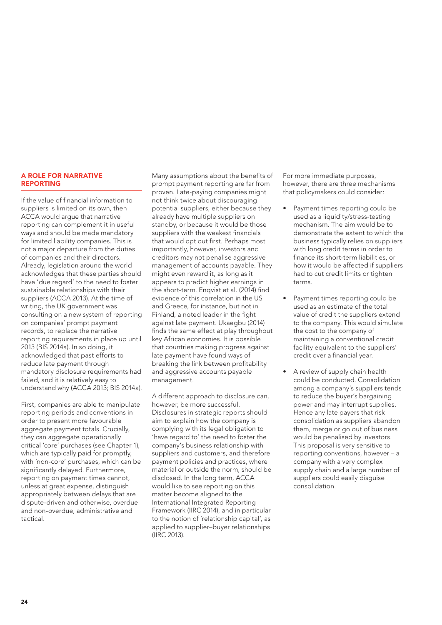#### A ROLE FOR NARRATIVE REPORTING

If the value of financial information to suppliers is limited on its own, then ACCA would argue that narrative reporting can complement it in useful ways and should be made mandatory for limited liability companies. This is not a major departure from the duties of companies and their directors. Already, legislation around the world acknowledges that these parties should have 'due regard' to the need to foster sustainable relationships with their suppliers (ACCA 2013). At the time of writing, the UK government was consulting on a new system of reporting on companies' prompt payment records, to replace the narrative reporting requirements in place up until 2013 (BIS 2014a). In so doing, it acknowledged that past efforts to reduce late payment through mandatory disclosure requirements had failed, and it is relatively easy to understand why (ACCA 2013; BIS 2014a).

First, companies are able to manipulate reporting periods and conventions in order to present more favourable aggregate payment totals. Crucially, they can aggregate operationally critical 'core' purchases (see Chapter 1), which are typically paid for promptly, with 'non-core' purchases, which can be significantly delayed. Furthermore, reporting on payment times cannot, unless at great expense, distinguish appropriately between delays that are dispute-driven and otherwise, overdue and non-overdue, administrative and tactical.

Many assumptions about the benefits of prompt payment reporting are far from proven. Late-paying companies might not think twice about discouraging potential suppliers, either because they already have multiple suppliers on standby, or because it would be those suppliers with the weakest financials that would opt out first. Perhaps most importantly, however, investors and creditors may not penalise aggressive management of accounts payable. They might even reward it, as long as it appears to predict higher earnings in the short-term. Enqvist et al. (2014) find evidence of this correlation in the US and Greece, for instance, but not in Finland, a noted leader in the fight against late payment. Ukaegbu (2014) finds the same effect at play throughout key African economies. It is possible that countries making progress against late payment have found ways of breaking the link between profitability and aggressive accounts payable management.

A different approach to disclosure can, however, be more successful. Disclosures in strategic reports should aim to explain how the company is complying with its legal obligation to 'have regard to' the need to foster the company's business relationship with suppliers and customers, and therefore payment policies and practices, where material or outside the norm, should be disclosed. In the long term, ACCA would like to see reporting on this matter become aligned to the International Integrated Reporting Framework (IIRC 2014), and in particular to the notion of 'relationship capital', as applied to supplier–buyer relationships (IIRC 2013).

For more immediate purposes, however, there are three mechanisms that policymakers could consider:

- Payment times reporting could be used as a liquidity/stress-testing mechanism. The aim would be to demonstrate the extent to which the business typically relies on suppliers with long credit terms in order to finance its short-term liabilities, or how it would be affected if suppliers had to cut credit limits or tighten terms.
- Payment times reporting could be used as an estimate of the total value of credit the suppliers extend to the company. This would simulate the cost to the company of maintaining a conventional credit facility equivalent to the suppliers' credit over a financial year.
- A review of supply chain health could be conducted. Consolidation among a company's suppliers tends to reduce the buyer's bargaining power and may interrupt supplies. Hence any late payers that risk consolidation as suppliers abandon them, merge or go out of business would be penalised by investors. This proposal is very sensitive to reporting conventions, however – a company with a very complex supply chain and a large number of suppliers could easily disguise consolidation.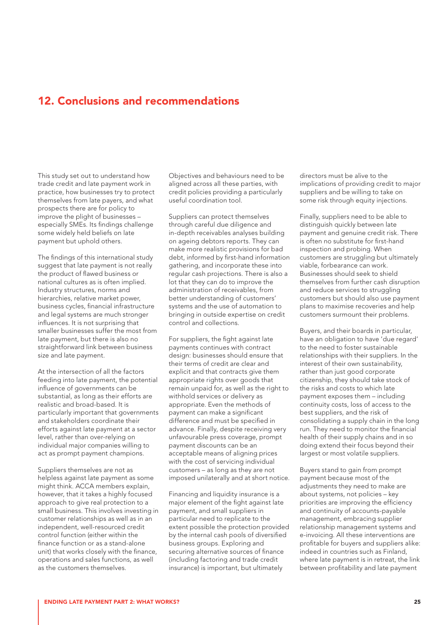## 12. Conclusions and recommendations

This study set out to understand how trade credit and late payment work in practice, how businesses try to protect themselves from late payers, and what prospects there are for policy to improve the plight of businesses – especially SMEs. Its findings challenge some widely held beliefs on late payment but uphold others.

The findings of this international study suggest that late payment is not really the product of flawed business or national cultures as is often implied. Industry structures, norms and hierarchies, relative market power, business cycles, financial infrastructure and legal systems are much stronger influences. It is not surprising that smaller businesses suffer the most from late payment, but there is also no straightforward link between business size and late payment.

At the intersection of all the factors feeding into late payment, the potential influence of governments can be substantial, as long as their efforts are realistic and broad-based. It is particularly important that governments and stakeholders coordinate their efforts against late payment at a sector level, rather than over-relying on individual major companies willing to act as prompt payment champions.

Suppliers themselves are not as helpless against late payment as some might think. ACCA members explain, however, that it takes a highly focused approach to give real protection to a small business. This involves investing in customer relationships as well as in an independent, well-resourced credit control function (either within the finance function or as a stand-alone unit) that works closely with the finance, operations and sales functions, as well as the customers themselves.

Objectives and behaviours need to be aligned across all these parties, with credit policies providing a particularly useful coordination tool.

Suppliers can protect themselves through careful due diligence and in-depth receivables analyses building on ageing debtors reports. They can make more realistic provisions for bad debt, informed by first-hand information gathering, and incorporate these into regular cash projections. There is also a lot that they can do to improve the administration of receivables, from better understanding of customers' systems and the use of automation to bringing in outside expertise on credit control and collections.

For suppliers, the fight against late payments continues with contract design: businesses should ensure that their terms of credit are clear and explicit and that contracts give them appropriate rights over goods that remain unpaid for, as well as the right to withhold services or delivery as appropriate. Even the methods of payment can make a significant difference and must be specified in advance. Finally, despite receiving very unfavourable press coverage, prompt payment discounts can be an acceptable means of aligning prices with the cost of servicing individual customers – as long as they are not imposed unilaterally and at short notice.

Financing and liquidity insurance is a major element of the fight against late payment, and small suppliers in particular need to replicate to the extent possible the protection provided by the internal cash pools of diversified business groups. Exploring and securing alternative sources of finance (including factoring and trade credit insurance) is important, but ultimately

directors must be alive to the implications of providing credit to major suppliers and be willing to take on some risk through equity injections.

Finally, suppliers need to be able to distinguish quickly between late payment and genuine credit risk. There is often no substitute for first-hand inspection and probing. When customers are struggling but ultimately viable, forbearance can work. Businesses should seek to shield themselves from further cash disruption and reduce services to struggling customers but should also use payment plans to maximise recoveries and help customers surmount their problems.

Buyers, and their boards in particular, have an obligation to have 'due regard' to the need to foster sustainable relationships with their suppliers. In the interest of their own sustainability, rather than just good corporate citizenship, they should take stock of the risks and costs to which late payment exposes them – including continuity costs, loss of access to the best suppliers, and the risk of consolidating a supply chain in the long run. They need to monitor the financial health of their supply chains and in so doing extend their focus beyond their largest or most volatile suppliers.

Buyers stand to gain from prompt payment because most of the adjustments they need to make are about systems, not policies – key priorities are improving the efficiency and continuity of accounts-payable management, embracing supplier relationship management systems and e-invoicing. All these interventions are profitable for buyers and suppliers alike: indeed in countries such as Finland, where late payment is in retreat, the link between profitability and late payment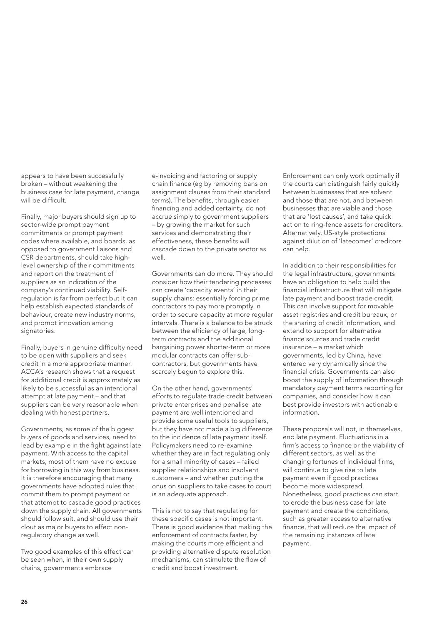appears to have been successfully broken – without weakening the business case for late payment, change will be difficult.

Finally, major buyers should sign up to sector-wide prompt payment commitments or prompt payment codes where available, and boards, as opposed to government liaisons and CSR departments, should take highlevel ownership of their commitments and report on the treatment of suppliers as an indication of the company's continued viability. Selfregulation is far from perfect but it can help establish expected standards of behaviour, create new industry norms, and prompt innovation among signatories.

Finally, buyers in genuine difficulty need to be open with suppliers and seek credit in a more appropriate manner. ACCA's research shows that a request for additional credit is approximately as likely to be successful as an intentional attempt at late payment – and that suppliers can be very reasonable when dealing with honest partners.

Governments, as some of the biggest buyers of goods and services, need to lead by example in the fight against late payment. With access to the capital markets, most of them have no excuse for borrowing in this way from business. It is therefore encouraging that many governments have adopted rules that commit them to prompt payment or that attempt to cascade good practices down the supply chain. All governments should follow suit, and should use their clout as major buyers to effect nonregulatory change as well.

Two good examples of this effect can be seen when, in their own supply chains, governments embrace

e-invoicing and factoring or supply chain finance (eg by removing bans on assignment clauses from their standard terms). The benefits, through easier financing and added certainty, do not accrue simply to government suppliers – by growing the market for such services and demonstrating their effectiveness, these benefits will cascade down to the private sector as well.

Governments can do more. They should consider how their tendering processes can create 'capacity events' in their supply chains: essentially forcing prime contractors to pay more promptly in order to secure capacity at more regular intervals. There is a balance to be struck between the efficiency of large, longterm contracts and the additional bargaining power shorter-term or more modular contracts can offer subcontractors, but governments have scarcely begun to explore this.

On the other hand, governments' efforts to regulate trade credit between private enterprises and penalise late payment are well intentioned and provide some useful tools to suppliers, but they have not made a big difference to the incidence of late payment itself. Policymakers need to re-examine whether they are in fact regulating only for a small minority of cases – failed supplier relationships and insolvent customers – and whether putting the onus on suppliers to take cases to court is an adequate approach.

This is not to say that regulating for these specific cases is not important. There is good evidence that making the enforcement of contracts faster, by making the courts more efficient and providing alternative dispute resolution mechanisms, can stimulate the flow of credit and boost investment.

Enforcement can only work optimally if the courts can distinguish fairly quickly between businesses that are solvent and those that are not, and between businesses that are viable and those that are 'lost causes', and take quick action to ring-fence assets for creditors. Alternatively, US-style protections against dilution of 'latecomer' creditors can help.

In addition to their responsibilities for the legal infrastructure, governments have an obligation to help build the financial infrastructure that will mitigate late payment and boost trade credit. This can involve support for movable asset registries and credit bureaux, or the sharing of credit information, and extend to support for alternative finance sources and trade credit insurance – a market which governments, led by China, have entered very dynamically since the financial crisis. Governments can also boost the supply of information through mandatory payment terms reporting for companies, and consider how it can best provide investors with actionable information.

These proposals will not, in themselves, end late payment. Fluctuations in a firm's access to finance or the viability of different sectors, as well as the changing fortunes of individual firms, will continue to give rise to late payment even if good practices become more widespread. Nonetheless, good practices can start to erode the business case for late payment and create the conditions, such as greater access to alternative finance, that will reduce the impact of the remaining instances of late payment.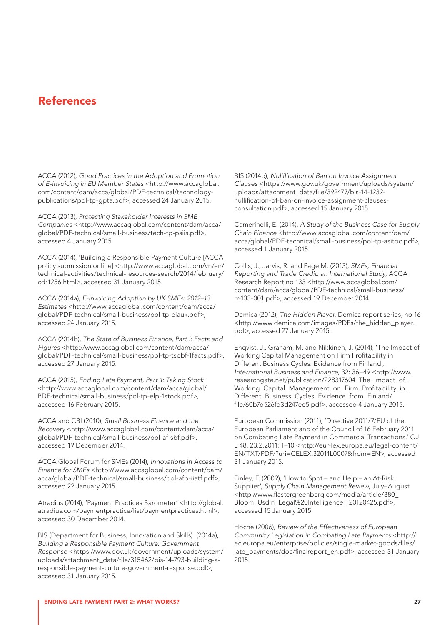## References

ACCA (2012), *Good Practices in the Adoption and Promotion of E-invoicing in EU Member States* <[http://www.accaglobal.](http://www.accaglobal.com/content/dam/acca/global/PDF-technical/technology-publications/pol-tp-gpta.pdf) [com/content/dam/acca/global/PDF-technical/technology](http://www.accaglobal.com/content/dam/acca/global/PDF-technical/technology-publications/pol-tp-gpta.pdf)[publications/pol-tp-gpta.pdf](http://www.accaglobal.com/content/dam/acca/global/PDF-technical/technology-publications/pol-tp-gpta.pdf)>, accessed 24 January 2015.

ACCA (2013), *Protecting Stakeholder Interests in SME Companies* [<http://www.accaglobal.com/content/dam/acca/](http://www.accaglobal.com/content/dam/acca/global/PDF-technical/small-business/tech-tp-psiis.pdf) [global/PDF-technical/small-business/tech-tp-psiis.pdf](http://www.accaglobal.com/content/dam/acca/global/PDF-technical/small-business/tech-tp-psiis.pdf)>, accessed 4 January 2015.

ACCA (2014), 'Building a Responsible Payment Culture [ACCA policy submission online] <[http://www.accaglobal.com/vn/en/](http://www.accaglobal.com/vn/en/technical-activities/technical-resources-search/2014/february/cdr1256.html) [technical-activities/technical-resources-search/2014/february/](http://www.accaglobal.com/vn/en/technical-activities/technical-resources-search/2014/february/cdr1256.html) [cdr1256.html>](http://www.accaglobal.com/vn/en/technical-activities/technical-resources-search/2014/february/cdr1256.html), accessed 31 January 2015.

ACCA (2014a), *E-invoicing Adoption by UK SMEs: 2012–13 Estimates* [<http://www.accaglobal.com/content/dam/acca/](http://www.accaglobal.com/content/dam/acca/global/PDF-technical/small-business/pol-tp-eiauk.pdf) [global/PDF-technical/small-business/pol-tp-eiauk.pdf](http://www.accaglobal.com/content/dam/acca/global/PDF-technical/small-business/pol-tp-eiauk.pdf)>, accessed 24 January 2015.

ACCA (2014b), *The State of Business Finance, Part I: Facts and Figures* [<http://www.accaglobal.com/content/dam/acca/](http://www.accaglobal.com/content/dam/acca/global/PDF-technical/small-business/pol-tp-tsobf-1facts.pdf) [global/PDF-technical/small-business/pol-tp-tsobf-1facts.pdf>](http://www.accaglobal.com/content/dam/acca/global/PDF-technical/small-business/pol-tp-tsobf-1facts.pdf), accessed 27 January 2015.

ACCA (2015), *Ending Late Payment, Part 1: Taking Stock* [<http://www.accaglobal.com/content/dam/acca/global/](http://www.accaglobal.com/content/dam/acca/global/PDF-technical/small-business/pol-tp-elp-1stock.pdf) [PDF-technical/small-business/pol-tp-elp-1stock.pdf>](http://www.accaglobal.com/content/dam/acca/global/PDF-technical/small-business/pol-tp-elp-1stock.pdf), accessed 16 February 2015.

ACCA and CBI (2010), *Small Business Finance and the Recovery* [<http://www.accaglobal.com/content/dam/acca/](http://www.accaglobal.com/content/dam/acca/global/PDF-technical/small-business/pol-af-sbf.pdf) [global/PDF-technical/small-business/pol-af-sbf.pdf](http://www.accaglobal.com/content/dam/acca/global/PDF-technical/small-business/pol-af-sbf.pdf)>, accessed 19 December 2014.

ACCA Global Forum for SMEs (2014), *Innovations in Access to Finance for SMEs* <[http://www.accaglobal.com/content/dam/](http://www.accaglobal.com/content/dam/acca/global/PDF-technical/small-business/pol-afb-iiatf.pdf) [acca/global/PDF-technical/small-business/pol-afb-iiatf.pdf>](http://www.accaglobal.com/content/dam/acca/global/PDF-technical/small-business/pol-afb-iiatf.pdf), accessed 22 January 2015.

Atradius (2014), 'Payment Practices Barometer' <[http://global.](http://global.atradius.com/paymentpractice/list/paymentpractices.html) [atradius.com/paymentpractice/list/paymentpractices.html>](http://global.atradius.com/paymentpractice/list/paymentpractices.html), accessed 30 December 2014.

BIS (Department for Business, Innovation and Skills) (2014a), *Building a Responsible Payment Culture: Government Response* <[https://www.gov.uk/government/uploads/system/](https://www.gov.uk/government/uploads/system/uploads/attachment_data/file/315462/bis-14-793-building-a-responsible-payment-culture-government-response.pdf) [uploads/attachment\\_data/file/315462/bis-14-793-building-a](https://www.gov.uk/government/uploads/system/uploads/attachment_data/file/315462/bis-14-793-building-a-responsible-payment-culture-government-response.pdf)[responsible-payment-culture-government-response.pdf>](https://www.gov.uk/government/uploads/system/uploads/attachment_data/file/315462/bis-14-793-building-a-responsible-payment-culture-government-response.pdf), accessed 31 January 2015.

BIS (2014b), *Nullification of Ban on Invoice Assignment Clauses* [<https://www.gov.uk/government/uploads/system/](https://www.gov.uk/government/uploads/system/uploads/attachment_data/file/392477/bis-14-1232-nullification-of-ban-on-invoice-assignment-clauses-consultation.pdf) [uploads/attachment\\_data/file/392477/bis-14-1232](https://www.gov.uk/government/uploads/system/uploads/attachment_data/file/392477/bis-14-1232-nullification-of-ban-on-invoice-assignment-clauses-consultation.pdf) [nullification-of-ban-on-invoice-assignment-clauses](https://www.gov.uk/government/uploads/system/uploads/attachment_data/file/392477/bis-14-1232-nullification-of-ban-on-invoice-assignment-clauses-consultation.pdf)[consultation.pdf](https://www.gov.uk/government/uploads/system/uploads/attachment_data/file/392477/bis-14-1232-nullification-of-ban-on-invoice-assignment-clauses-consultation.pdf)>, accessed 15 January 2015.

Camerinelli, E. (2014), *A Study of the Business Case for Supply Chain Finance* [<http://www.accaglobal.com/content/dam/](http://www.accaglobal.com/content/dam/acca/global/PDF-technical/small-business/pol-tp-asitbc.pdf) [acca/global/PDF-technical/small-business/pol-tp-asitbc.pdf>](http://www.accaglobal.com/content/dam/acca/global/PDF-technical/small-business/pol-tp-asitbc.pdf), accessed 1 January 2015.

Collis, J., Jarvis, R. and Page M. (2013), *SMEs, Financial Reporting and Trade Credit: an International Study*, ACCA Research Report no 133 <[http://www.accaglobal.com/](http://www.accaglobal.com/content/dam/acca/global/PDF-technical/small-business/rr-133-001.pdf) [content/dam/acca/global/PDF-technical/small-business/](http://www.accaglobal.com/content/dam/acca/global/PDF-technical/small-business/rr-133-001.pdf) [rr-133-001.pdf>](http://www.accaglobal.com/content/dam/acca/global/PDF-technical/small-business/rr-133-001.pdf), accessed 19 December 2014.

Demica (2012), *The Hidden Player*, Demica report series, no 16 <[http://www.demica.com/images/PDFs/the\\_hidden\\_player.](http://www.demica.com/images/PDFs/the_hidden_player.pdf) [pdf>](http://www.demica.com/images/PDFs/the_hidden_player.pdf), accessed 27 January 2015.

Enqvist, J., Graham, M. and Nikkinen, J. (2014), 'The Impact of Working Capital Management on Firm Profitability in Different Business Cycles: Evidence from Finland', *International Business and Finance*, 32: 36–49 [<http://www.](http://www.researchgate.net/publication/228317604_The_Impact_of_Working_Capital_Management_on_Firm_Profitability_in_Different_Business_Cycles_Evidence_from_Finland/file/60b7d526fd3d247ee5.pdf) [researchgate.net/publication/228317604\\_The\\_Impact\\_of\\_](http://www.researchgate.net/publication/228317604_The_Impact_of_Working_Capital_Management_on_Firm_Profitability_in_Different_Business_Cycles_Evidence_from_Finland/file/60b7d526fd3d247ee5.pdf) [Working\\_Capital\\_Management\\_on\\_Firm\\_Profitability\\_in\\_](http://www.researchgate.net/publication/228317604_The_Impact_of_Working_Capital_Management_on_Firm_Profitability_in_Different_Business_Cycles_Evidence_from_Finland/file/60b7d526fd3d247ee5.pdf) [Different\\_Business\\_Cycles\\_Evidence\\_from\\_Finland/](http://www.researchgate.net/publication/228317604_The_Impact_of_Working_Capital_Management_on_Firm_Profitability_in_Different_Business_Cycles_Evidence_from_Finland/file/60b7d526fd3d247ee5.pdf) [file/60b7d526fd3d247ee5.pdf>](http://www.researchgate.net/publication/228317604_The_Impact_of_Working_Capital_Management_on_Firm_Profitability_in_Different_Business_Cycles_Evidence_from_Finland/file/60b7d526fd3d247ee5.pdf), accessed 4 January 2015.

European Commission (2011), 'Directive 2011/7/EU of the European Parliament and of the Council of 16 February 2011 on Combating Late Payment in Commercial Transactions.' OJ L 48, 23.2.2011: 1–10 <[http://eur-lex.europa.eu/legal-content/](http://eur-lex.europa.eu/legal-content/EN/TXT/PDF/?uri=CELEX:32011L0007&from=EN) [EN/TXT/PDF/?uri=CELEX:32011L0007&from=EN](http://eur-lex.europa.eu/legal-content/EN/TXT/PDF/?uri=CELEX:32011L0007&from=EN)>, accessed 31 January 2015.

Finley, F. (2009), 'How to Spot – and Help – an At-Risk Supplier', *Supply Chain Management Review*, July–August <[http://www.flastergreenberg.com/media/article/380\\_](http://www.flastergreenberg.com/media/article/380_Bloom_Usdin_Legal%20Intelligencer_20120425.pdf) [Bloom\\_Usdin\\_Legal%20Intelligencer\\_20120425.pdf](http://www.flastergreenberg.com/media/article/380_Bloom_Usdin_Legal%20Intelligencer_20120425.pdf)>, accessed 15 January 2015.

Hoche (2006), *Review of the Effectiveness of European Community Legislation in Combating Late Payments* <[http://](http://ec.europa.eu/enterprise/policies/single-market-goods/files/late_payments/doc/finalreport_en.pdf) [ec.europa.eu/enterprise/policies/single-market-goods/files/](http://ec.europa.eu/enterprise/policies/single-market-goods/files/late_payments/doc/finalreport_en.pdf) [late\\_payments/doc/finalreport\\_en.pdf>](http://ec.europa.eu/enterprise/policies/single-market-goods/files/late_payments/doc/finalreport_en.pdf), accessed 31 January 2015.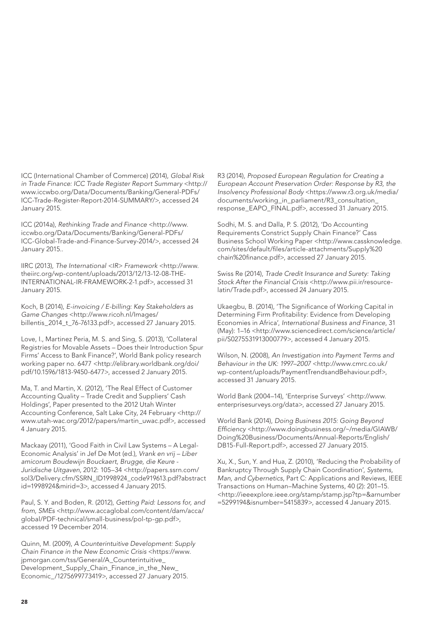ICC (International Chamber of Commerce) (2014), *Global Risk in Trade Finance: ICC Trade Register Report Summary* <[http://](http://www.iccwbo.org/Data/Documents/Banking/General-PDFs/ICC-Trade-Register-Report-2014-SUMMARY/) [www.iccwbo.org/Data/Documents/Banking/General-PDFs/](http://www.iccwbo.org/Data/Documents/Banking/General-PDFs/ICC-Trade-Register-Report-2014-SUMMARY/) [ICC-Trade-Register-Report-2014-SUMMARY/>](http://www.iccwbo.org/Data/Documents/Banking/General-PDFs/ICC-Trade-Register-Report-2014-SUMMARY/), accessed 24 January 2015.

ICC (2014a), *Rethinking Trade and Finance* [<http://www.](http://www.iccwbo.org/Data/Documents/Banking/General-PDFs/ICC-Global-Trade-and-Finance-Survey-2014/) [iccwbo.org/Data/Documents/Banking/General-PDFs/](http://www.iccwbo.org/Data/Documents/Banking/General-PDFs/ICC-Global-Trade-and-Finance-Survey-2014/) [ICC-Global-Trade-and-Finance-Survey-2014/>](http://www.iccwbo.org/Data/Documents/Banking/General-PDFs/ICC-Global-Trade-and-Finance-Survey-2014/), accessed 24 January 2015..

IIRC (2013), *The International <IR> Framework* [<http://www.](http://www.theiirc.org/wp-content/uploads/2013/12/13-12-08-THE-INTERNATIONAL-IR-FRAMEWORK-2-1.pdf) [theiirc.org/wp-content/uploads/2013/12/13-12-08-THE-](http://www.theiirc.org/wp-content/uploads/2013/12/13-12-08-THE-INTERNATIONAL-IR-FRAMEWORK-2-1.pdf)[INTERNATIONAL-IR-FRAMEWORK-2-1.pdf](http://www.theiirc.org/wp-content/uploads/2013/12/13-12-08-THE-INTERNATIONAL-IR-FRAMEWORK-2-1.pdf)>, accessed 31 January 2015.

Koch, B (2014), *E-invoicing / E-billing: Key Stakeholders as Game Changes* [<http://www.ricoh.nl/Images/](http://www.ricoh.nl/Images/billentis_2014_t_76-76133.pdf) [billentis\\_2014\\_t\\_76-76133.pdf](http://www.ricoh.nl/Images/billentis_2014_t_76-76133.pdf)>, accessed 27 January 2015.

Love, I., Martinez Peria, M. S. and Sing, S. (2013), 'Collateral Registries for Movable Assets – Does their Introduction Spur Firms' Access to Bank Finance?', World Bank policy research working paper no. 6477 <[http://elibrary.worldbank.org/doi/](http://elibrary.worldbank.org/doi/pdf/10.1596/1813-9450-6477) [pdf/10.1596/1813-9450-6477>](http://elibrary.worldbank.org/doi/pdf/10.1596/1813-9450-6477), accessed 2 January 2015.

Ma, T. and Martin, X. (2012), 'The Real Effect of Customer Accounting Quality – Trade Credit and Suppliers' Cash Holdings', Paper presented to the 2012 Utah Winter Accounting Conference, Salt Lake City, 24 February <[http://](http://www.utah-wac.org/2012/papers/martin_uwac.pdf) [www.utah-wac.org/2012/papers/martin\\_uwac.pdf](http://www.utah-wac.org/2012/papers/martin_uwac.pdf)>, accessed 4 January 2015.

Mackaay (2011), 'Good Faith in Civil Law Systems – A Legal-Economic Analysis' in Jef De Mot (ed.), *Vrank en vrij – Liber amicorum Boudewijn Bouckaert, Brugge, die Keure - Juridische Uitgaven*, 2012: 105–34 <[http://papers.ssrn.com/](http://papers.ssrn.com/sol3/Delivery.cfm/SSRN_ID1998924_code919613.pdf?abstractid=1998924&mirid=3) [sol3/Delivery.cfm/SSRN\\_ID1998924\\_code919613.pdf?abstract](http://papers.ssrn.com/sol3/Delivery.cfm/SSRN_ID1998924_code919613.pdf?abstractid=1998924&mirid=3) [id=1998924&mirid=3](http://papers.ssrn.com/sol3/Delivery.cfm/SSRN_ID1998924_code919613.pdf?abstractid=1998924&mirid=3)>, accessed 4 January 2015.

Paul, S. Y. and Boden, R. (2012), *Getting Paid: Lessons for, and from, SMEs* [<http://www.accaglobal.com/content/dam/acca/](http://www.accaglobal.com/content/dam/acca/global/PDF-technical/small-business/pol-tp-gp.pdf) [global/PDF-technical/small-business/pol-tp-gp.pdf](http://www.accaglobal.com/content/dam/acca/global/PDF-technical/small-business/pol-tp-gp.pdf)>, accessed 19 December 2014.

Quinn, M. (2009), *A Counterintuitive Development: Supply Chain Finance in the New Economic Crisis* <[https://www.](https://www.jpmorgan.com/tss/General/A_Counterintuitive_Development_Supply_Chain_Finance_in_the_New_Economic_/1275699773419) [jpmorgan.com/tss/General/A\\_Counterintuitive\\_](https://www.jpmorgan.com/tss/General/A_Counterintuitive_Development_Supply_Chain_Finance_in_the_New_Economic_/1275699773419) [Development\\_Supply\\_Chain\\_Finance\\_in\\_the\\_New\\_](https://www.jpmorgan.com/tss/General/A_Counterintuitive_Development_Supply_Chain_Finance_in_the_New_Economic_/1275699773419) [Economic\\_/1275699773419](https://www.jpmorgan.com/tss/General/A_Counterintuitive_Development_Supply_Chain_Finance_in_the_New_Economic_/1275699773419)>, accessed 27 January 2015.

R3 (2014), *Proposed European Regulation for Creating a European Account Preservation Order: Response by R3, the Insolvency Professional Body* [<https://www.r3.org.uk/media/](https://www.r3.org.uk/media/documents/working_in_parliament/R3_consultation_response_EAPO_FINAL.pdf) [documents/working\\_in\\_parliament/R3\\_consultation\\_](https://www.r3.org.uk/media/documents/working_in_parliament/R3_consultation_response_EAPO_FINAL.pdf) [response\\_EAPO\\_FINAL.pdf>](https://www.r3.org.uk/media/documents/working_in_parliament/R3_consultation_response_EAPO_FINAL.pdf), accessed 31 January 2015.

Sodhi, M. S. and Dalla, P. S. (2012), 'Do Accounting Requirements Constrict Supply Chain Finance?' Cass Business School Working Paper [<http://www.cassknowledge.](http://www.cassknowledge.com/sites/default/files/article-attachments/Supply%20chain%20finance.pdf) [com/sites/default/files/article-attachments/Supply%20](http://www.cassknowledge.com/sites/default/files/article-attachments/Supply%20chain%20finance.pdf) [chain%20finance.pdf](http://www.cassknowledge.com/sites/default/files/article-attachments/Supply%20chain%20finance.pdf)>, accessed 27 January 2015.

Swiss Re (2014), *Trade Credit Insurance and Surety: Taking Stock After the Financial Crisis* [<http://www.pii.ir/resource](http://www.pii.ir/resource-latin/Trade.pdf)[latin/Trade.pdf>](http://www.pii.ir/resource-latin/Trade.pdf), accessed 24 January 2015.

Ukaegbu, B. (2014), 'The Significance of Working Capital in Determining Firm Profitability: Evidence from Developing Economies in Africa', *International Business and Finance*, 31 (May): 1–16 [<http://www.sciencedirect.com/science/article/](http://www.sciencedirect.com/science/article/pii/S0275531913000779) [pii/S0275531913000779>](http://www.sciencedirect.com/science/article/pii/S0275531913000779), accessed 4 January 2015.

Wilson, N. (2008), *An Investigation into Payment Terms and Behaviour in the UK: 1997–2007* [<http://www.cmrc.co.uk/](http://www.cmrc.co.uk/wp-content/uploads/PaymentTrendsandBehaviour.pdf) [wp-content/uploads/PaymentTrendsandBehaviour.pdf>](http://www.cmrc.co.uk/wp-content/uploads/PaymentTrendsandBehaviour.pdf), accessed 31 January 2015.

World Bank (2004–14), 'Enterprise Surveys' <[http://www.](http://www.enterprisesurveys.org/data) [enterprisesurveys.org/data](http://www.enterprisesurveys.org/data)>, accessed 27 January 2015.

World Bank (2014), *Doing Business 2015: Going Beyond Efficiency* [<http://www.doingbusiness.org/~/media/GIAWB/](http://www.doingbusiness.org/~/media/GIAWB/Doing%20Business/Documents/Annual-Reports/English/DB15-Full-Report.pdf) [Doing%20Business/Documents/Annual-Reports/English/](http://www.doingbusiness.org/~/media/GIAWB/Doing%20Business/Documents/Annual-Reports/English/DB15-Full-Report.pdf) [DB15-Full-Report.pdf>](http://www.doingbusiness.org/~/media/GIAWB/Doing%20Business/Documents/Annual-Reports/English/DB15-Full-Report.pdf), accessed 27 January 2015.

Xu, X., Sun, Y. and Hua, Z. (2010), 'Reducing the Probability of Bankruptcy Through Supply Chain Coordination', *Systems, Man, and Cybernetics*, Part C: Applications and Reviews, IEEE Transactions on Human–Machine Systems, 40 (2): 201–15. <[http://ieeexplore.ieee.org/stamp/stamp.jsp?tp=&arnumber](http://ieeexplore.ieee.org/stamp/stamp.jsp?tp=&arnumber=5299194&isnumber=5415839) [=5299194&isnumber=5415839](http://ieeexplore.ieee.org/stamp/stamp.jsp?tp=&arnumber=5299194&isnumber=5415839)>, accessed 4 January 2015.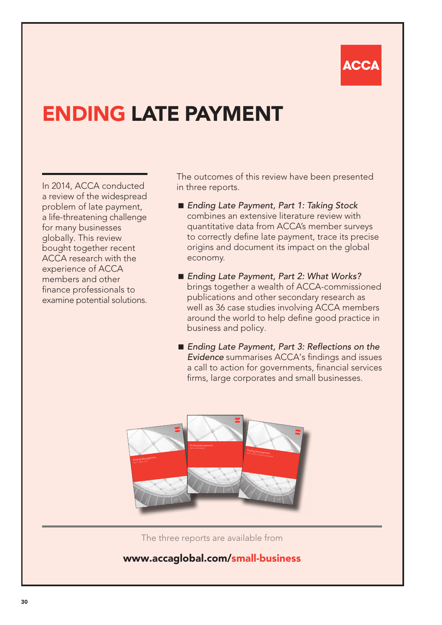# ACC

# ENDING LATE PAYMENT

In 2014, ACCA conducted a review of the widespread problem of late payment, a life-threatening challenge for many businesses globally. This review bought together recent ACCA research with the experience of ACCA members and other finance professionals to examine potential solutions. The outcomes of this review have been presented in three reports.

- *Ending Late Payment, Part 1: Taking Stock* combines an extensive literature review with quantitative data from ACCA's member surveys to correctly define late payment, trace its precise origins and document its impact on the global economy.
- *Ending Late Payment, Part 2: What Works?* brings together a wealth of ACCA-commissioned publications and other secondary research as well as 36 case studies involving ACCA members around the world to help define good practice in business and policy.
- Ending Late Payment, Part 3: Reflections on the *Evidence* summarises ACCA's findings and issues a call to action for governments, financial services firms, large corporates and small businesses.

![](_page_29_Picture_7.jpeg)

The three reports are available from

## www.accaglobal.com/smal[l-business](-business.html)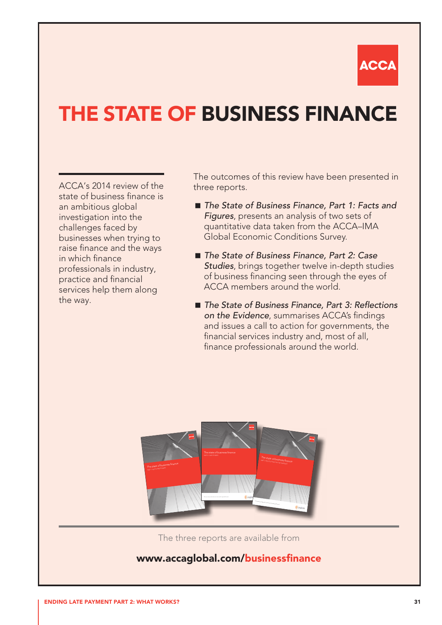![](_page_30_Picture_0.jpeg)

# THE STATE OF BUSINESS FINANCE

ACCA's 2014 review of the state of business finance is an ambitious global investigation into the challenges faced by businesses when trying to raise finance and the ways in which finance professionals in industry, practice and financial services help them along the way.

The outcomes of this review have been presented in three reports.

- The State of Business Finance, Part 1: Facts and *Figures*, presents an analysis of two sets of quantitative data taken from the ACCA–IMA Global Economic Conditions Survey.
- *The State of Business Finance, Part 2: Case Studies*, brings together twelve in-depth studies of business financing seen through the eyes of ACCA members around the world.
- *The State of Business Finance, Part 3: Reflections on the Evidence*, summarises ACCA's findings and issues a call to action for governments, the financial services industry and, most of all, finance professionals around the world.

![](_page_30_Picture_7.jpeg)

The three reports are available from

## www.accaglobal.com/businessfinance